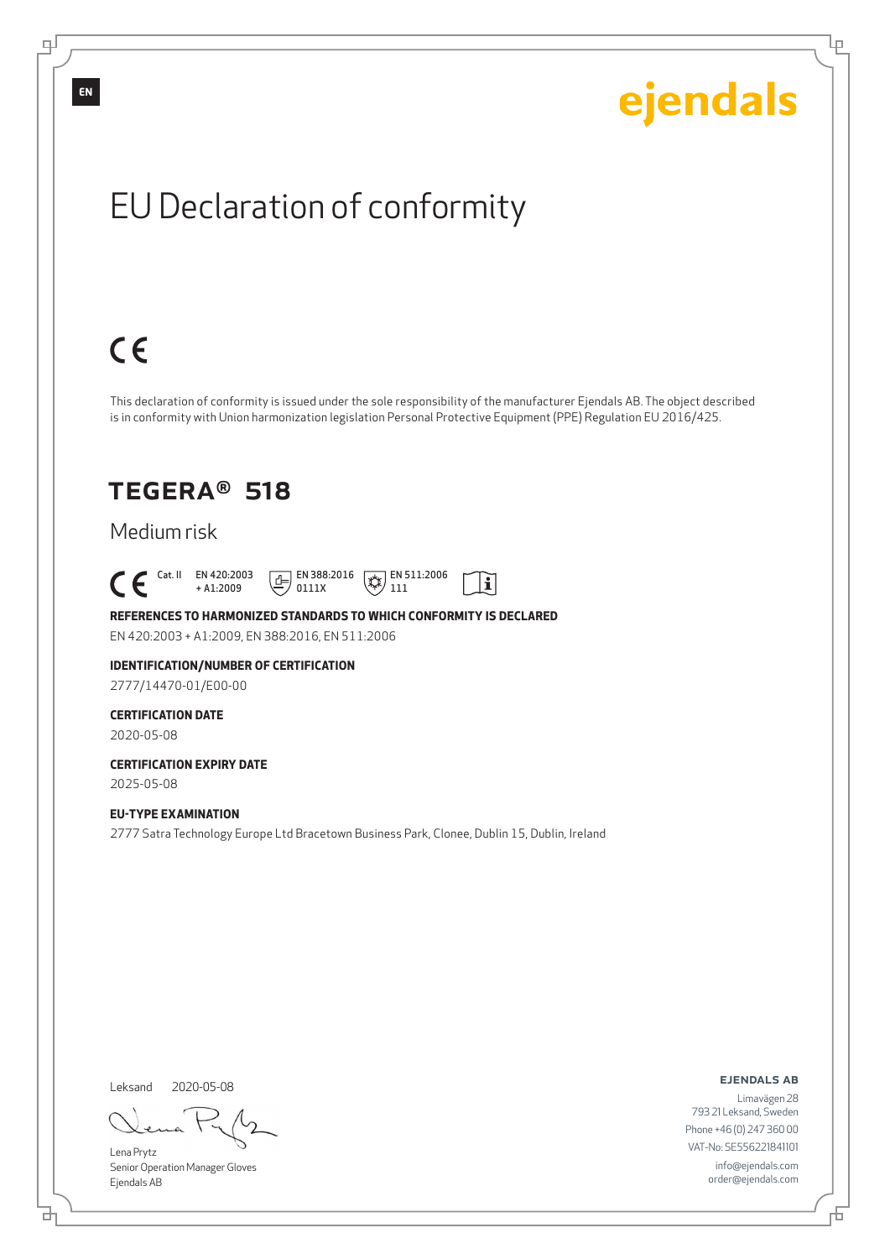Lρ

# EU Declaration of conformity

# $C \in$

This declaration of conformity is issued under the sole responsibility of the manufacturer Ejendals AB. The object described is in conformity with Union harmonization legislation Personal Protective Equipment (PPE) Regulation EU 2016/425.

 $\mathbf{i}$ 

## TEGERA® 518

### Medium risk

 $\begin{bmatrix} \mathsf{Cat} & \mathsf{II} & \mathsf{EN} & 420:2003 \\ + & 41:2009 \end{bmatrix}$ + A1:2009  $E$  EN 388:2016 0111X  $\mathbb{R}$  EN 511:2006 111

#### **REFERENCES TO HARMONIZED STANDARDS TO WHICH CONFORMITY IS DECLARED** EN 420:2003 + A1:2009, EN 388:2016, EN 511:2006

#### **IDENTIFICATION/NUMBER OF CERTIFICATION** 2777/14470-01/E00-00

### **CERTIFICATION DATE**

2020-05-08

#### **CERTIFICATION EXPIRY DATE** 2025-05-08

**EU-TYPE EXAMINATION**

2777 Satra Technology Europe Ltd Bracetown Business Park, Clonee, Dublin 15, Dublin, Ireland

Leksand 2020-05-08

<u>다</u>

Lena Prytz Senior Operation Manager Gloves Ejendals AB

ejendals ab

Đ

Limavägen 28 793 21 Leksand, Sweden Phone +46 (0) 247 360 00 VAT-No: SE556221841101 info@ejendals.com order@ejendals.com

**EN**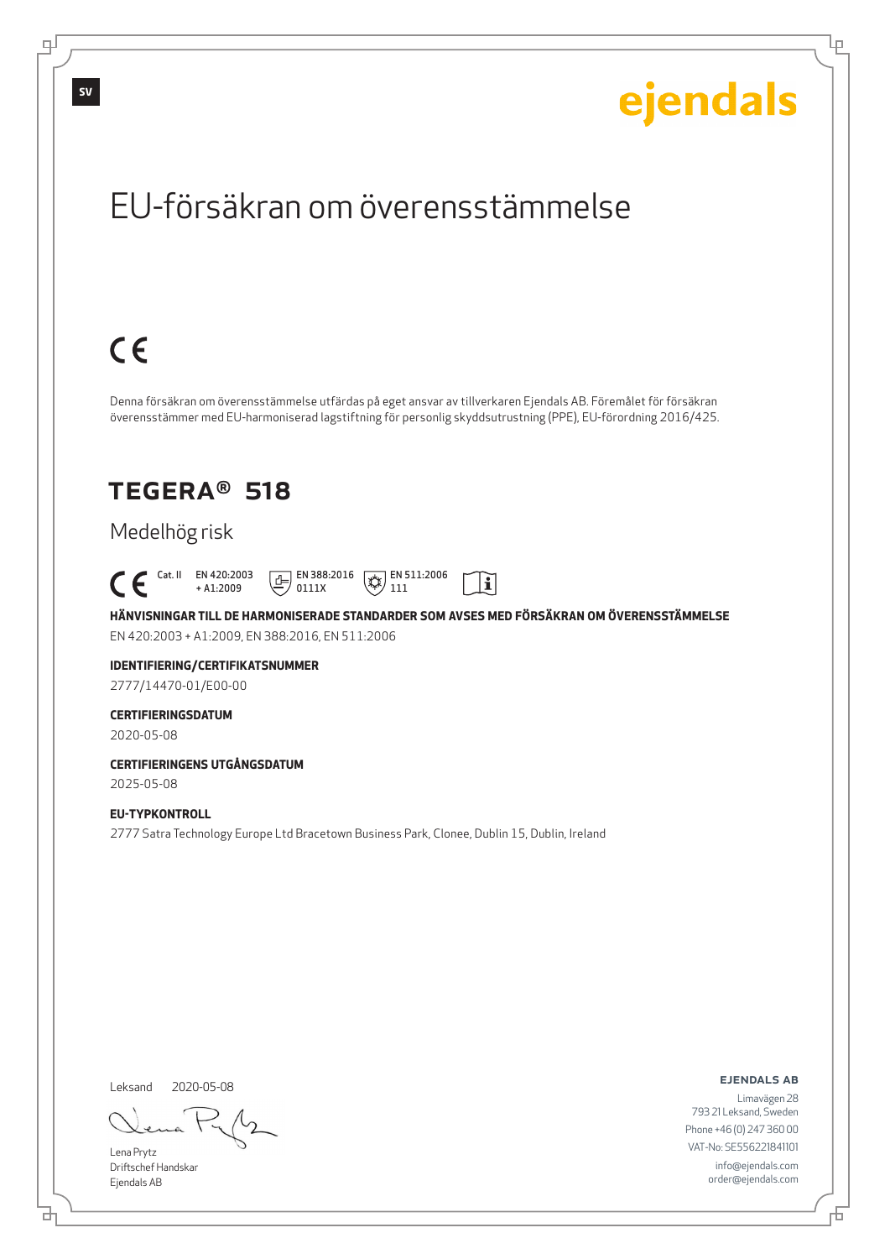Lρ

## EU-försäkran om överensstämmelse

# $C \in$

Denna försäkran om överensstämmelse utfärdas på eget ansvar av tillverkaren Ejendals AB. Föremålet för försäkran överensstämmer med EU-harmoniserad lagstiftning för personlig skyddsutrustning (PPE), EU-förordning 2016/425.

## TEGERA® 518

### Medelhög risk

 $\begin{bmatrix} \mathsf{Cat} & \mathsf{II} & \mathsf{EN} & 420:2003 \\ + & 41:2009 \end{bmatrix}$ + A1:2009  $\boxed{E}$  EN 388:2016 0111X  $\mathbb{R}$  EN 511:2006 111

**HÄNVISNINGAR TILL DE HARMONISERADE STANDARDER SOM AVSES MED FÖRSÄKRAN OM ÖVERENSSTÄMMELSE** EN 420:2003 + A1:2009, EN 388:2016, EN 511:2006

 $|\tilde{\mathbf{i}}|$ 

## **IDENTIFIERING/CERTIFIKATSNUMMER**

2777/14470-01/E00-00

### **CERTIFIERINGSDATUM**

2020-05-08

#### **CERTIFIERINGENS UTGÅNGSDATUM** 2025-05-08

### **EU-TYPKONTROLL**

2777 Satra Technology Europe Ltd Bracetown Business Park, Clonee, Dublin 15, Dublin, Ireland

Leksand

2020-05-08

Lena Prytz Driftschef Handskar Ejendals AB

<u>다</u>

ejendals ab

Đ

Limavägen 28 793 21 Leksand, Sweden Phone +46 (0) 247 360 00 VAT-No: SE556221841101 info@ejendals.com order@ejendals.com

டி

**SV**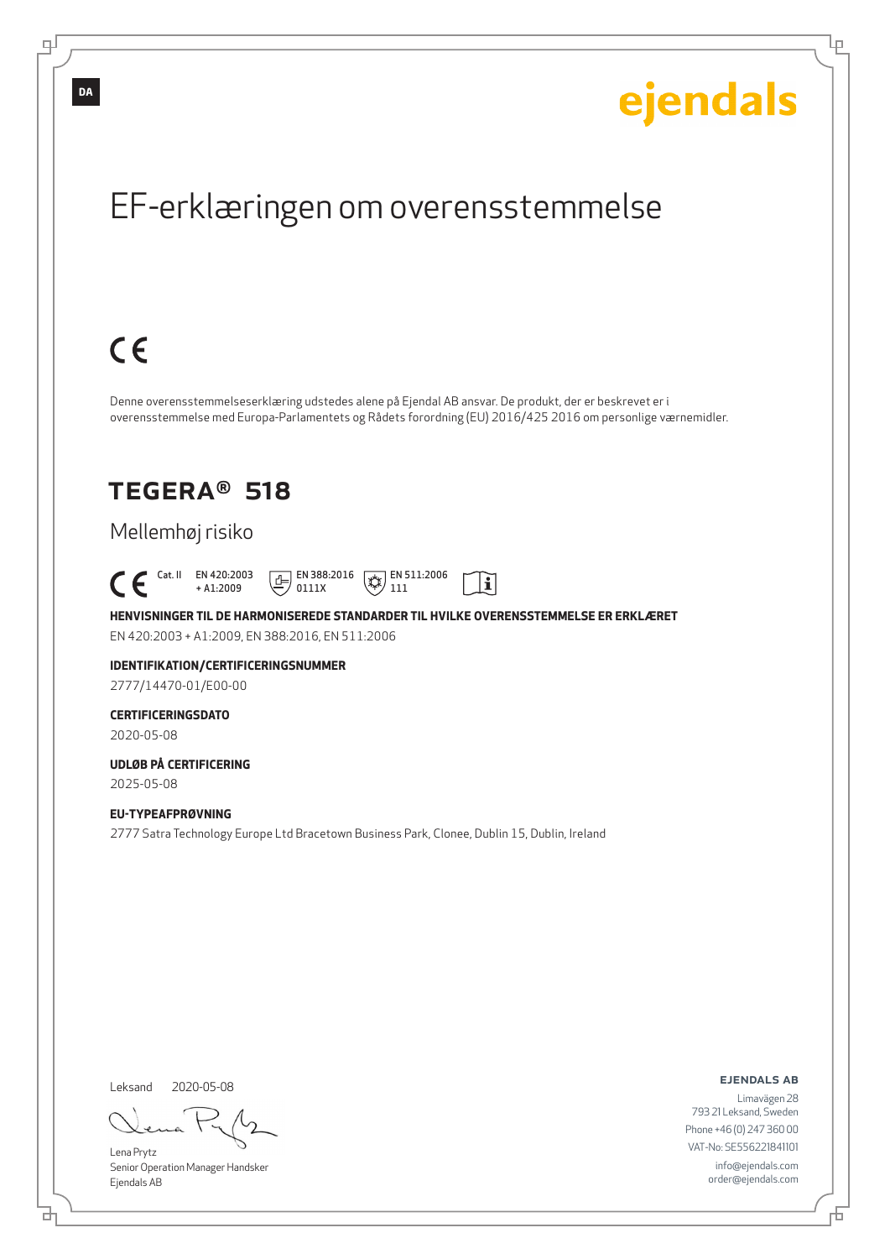Ļμ

## EF-erklæringen om overensstemmelse

# $C \in$

Denne overensstemmelseserklæring udstedes alene på Ejendal AB ansvar. De produkt, der er beskrevet er i overensstemmelse med Europa-Parlamentets og Rådets forordning (EU) 2016/425 2016 om personlige værnemidler.

## TEGERA® 518

### Mellemhøj risiko

 Cat. II EN 420:2003 + A1:2009  $E$  EN 388:2016 0111X  $\mathbb{R}$  EN 511:2006 111

**HENVISNINGER TIL DE HARMONISEREDE STANDARDER TIL HVILKE OVERENSSTEMMELSE ER ERKLÆRET** EN 420:2003 + A1:2009, EN 388:2016, EN 511:2006

 $|\tilde{\mathbf{i}}|$ 

## **IDENTIFIKATION/CERTIFICERINGSNUMMER**

2777/14470-01/E00-00

### **CERTIFICERINGSDATO**

2020-05-08

#### **UDLØB PÅ CERTIFICERING** 2025-05-08

**EU-TYPEAFPRØVNING** 2777 Satra Technology Europe Ltd Bracetown Business Park, Clonee, Dublin 15, Dublin, Ireland

Leksand 2020-05-08

브

Lena Prytz Senior Operation Manager Handsker Ejendals AB

#### ejendals ab

Đ

Limavägen 28 793 21 Leksand, Sweden Phone +46 (0) 247 360 00 VAT-No: SE556221841101 info@ejendals.com order@ejendals.com

டி

**DA**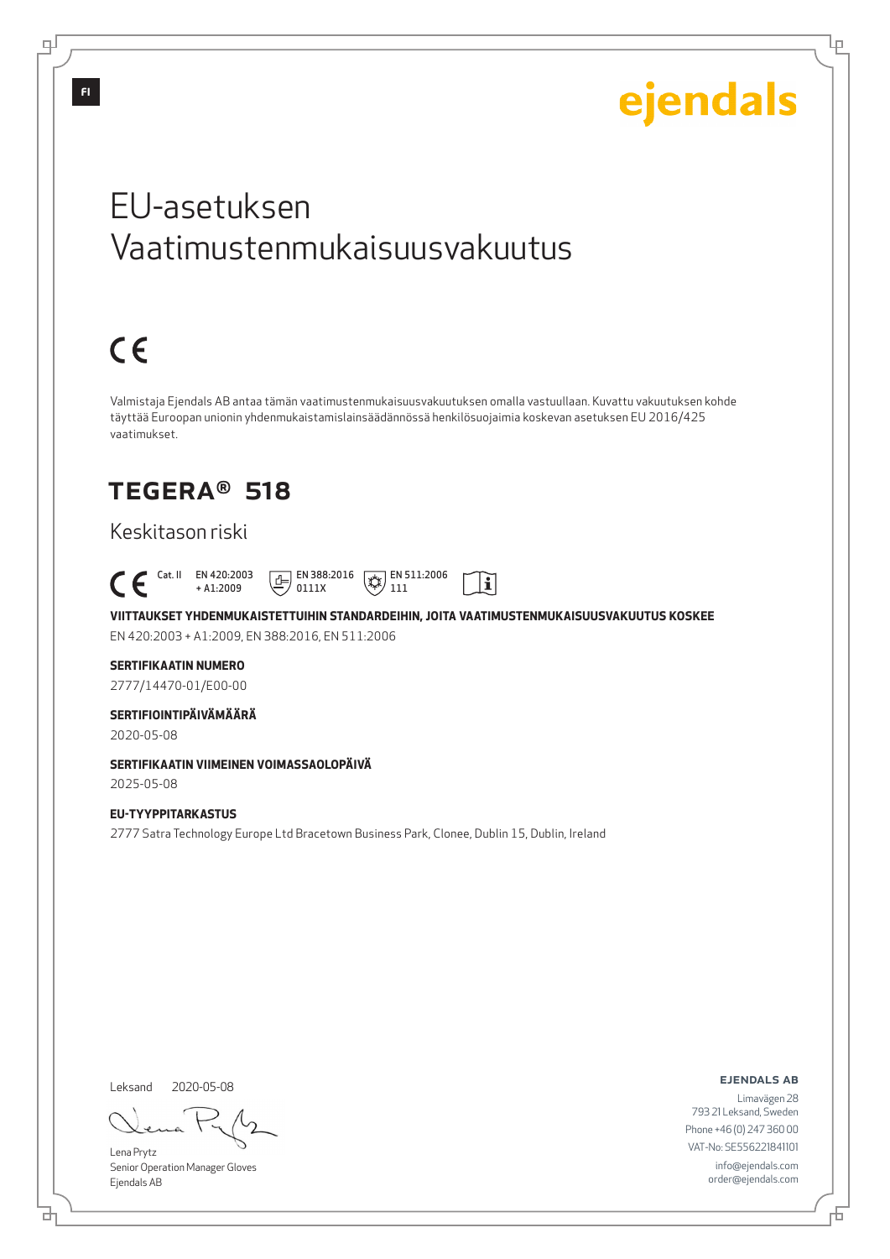Lμ

## EU-asetuksen Vaatimustenmukaisuusvakuutus

# $C \in$

Valmistaja Ejendals AB antaa tämän vaatimustenmukaisuusvakuutuksen omalla vastuullaan. Kuvattu vakuutuksen kohde täyttää Euroopan unionin yhdenmukaistamislainsäädännössä henkilösuojaimia koskevan asetuksen EU 2016/425 vaatimukset.

## TEGERA® 518

### Keskitason riski

 Cat. II EN 420:2003  $\boxed{\underline{f}}$  EN 388:2016  $\mathbb{R}$  EN 511:2006  $|\tilde{\mathbf{i}}|$ + A1:2009 0111X 111

**VIITTAUKSET YHDENMUKAISTETTUIHIN STANDARDEIHIN, JOITA VAATIMUSTENMUKAISUUSVAKUUTUS KOSKEE** EN 420:2003 + A1:2009, EN 388:2016, EN 511:2006

### **SERTIFIKAATIN NUMERO**

2777/14470-01/E00-00

### **SERTIFIOINTIPÄIVÄMÄÄRÄ**

2020-05-08

### **SERTIFIKAATIN VIIMEINEN VOIMASSAOLOPÄIVÄ**

2025-05-08

### **EU-TYYPPITARKASTUS** 2777 Satra Technology Europe Ltd Bracetown Business Park, Clonee, Dublin 15, Dublin, Ireland

Leksand 2020-05-08

브

Lena Prytz Senior Operation Manager Gloves Ejendals AB

#### ejendals ab

Б

Limavägen 28 793 21 Leksand, Sweden Phone +46 (0) 247 360 00 VAT-No: SE556221841101 info@ejendals.com order@ejendals.com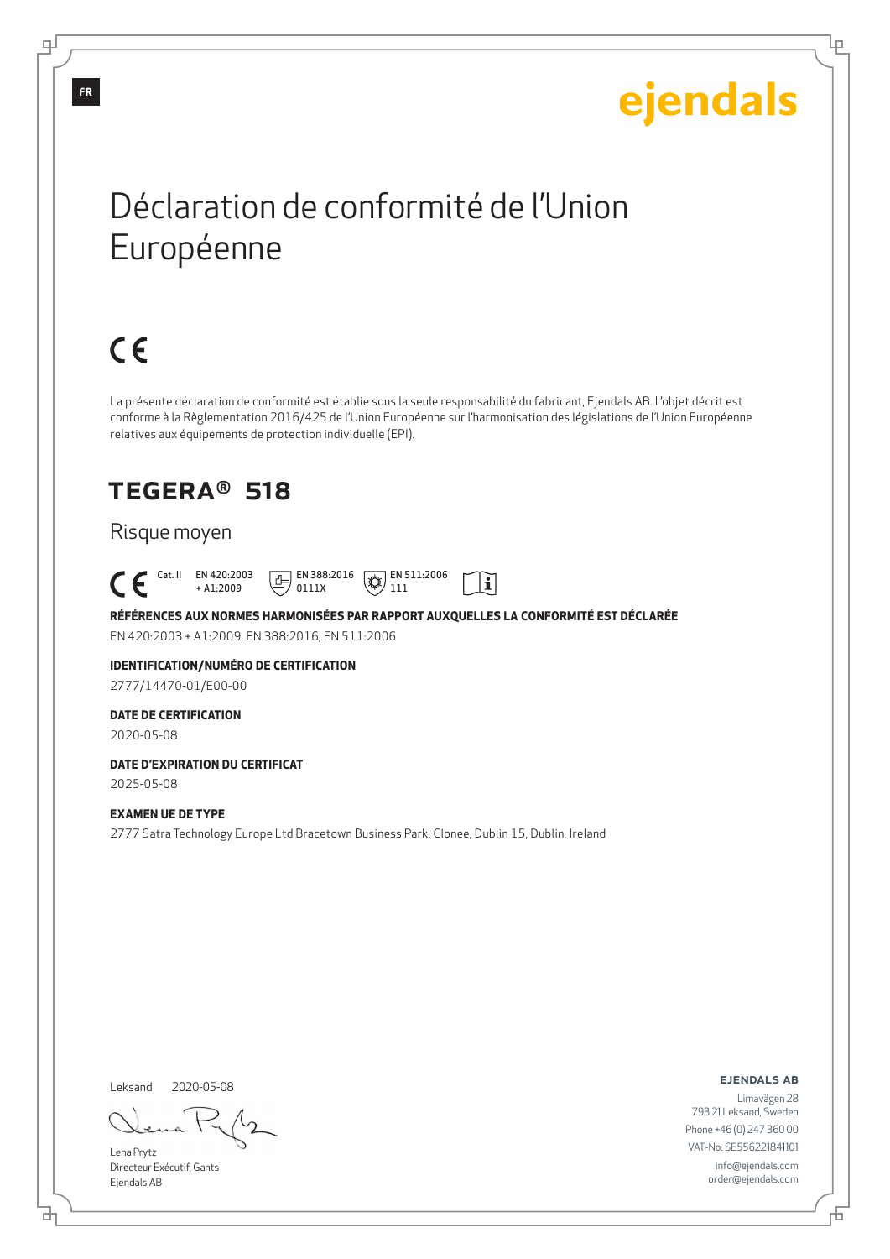Ļμ

## Déclaration de conformité de l'Union Européenne

# $C \in$

La présente déclaration de conformité est établie sous la seule responsabilité du fabricant, Ejendals AB. L'objet décrit est conforme à la Règlementation 2016/425 de l'Union Européenne sur l'harmonisation des législations de l'Union Européenne relatives aux équipements de protection individuelle (EPI).

## TEGERA® 518

### Risque moyen

 Cat. II EN 420:2003  $E$  EN 388:2016  $\mathbb{R}$  EN 511:2006  $|\tilde{\mathbf{i}}|$ + A1:2009 0111X 111

**RÉFÉRENCES AUX NORMES HARMONISÉES PAR RAPPORT AUXQUELLES LA CONFORMITÉ EST DÉCLARÉE** EN 420:2003 + A1:2009, EN 388:2016, EN 511:2006

## **IDENTIFICATION/NUMÉRO DE CERTIFICATION**

2777/14470-01/E00-00

### **DATE DE CERTIFICATION**

2020-05-08

#### **DATE D'EXPIRATION DU CERTIFICAT** 2025-05-08

**EXAMEN UE DE TYPE**

2777 Satra Technology Europe Ltd Bracetown Business Park, Clonee, Dublin 15, Dublin, Ireland

Leksand 2020-05-08

Lena Prytz Directeur Exécutif, Gants Ejendals AB

<u>다</u>

ejendals ab

Limavägen 28 793 21 Leksand, Sweden Phone +46 (0) 247 360 00 VAT-No: SE556221841101 info@ejendals.com order@ejendals.com

டி

Б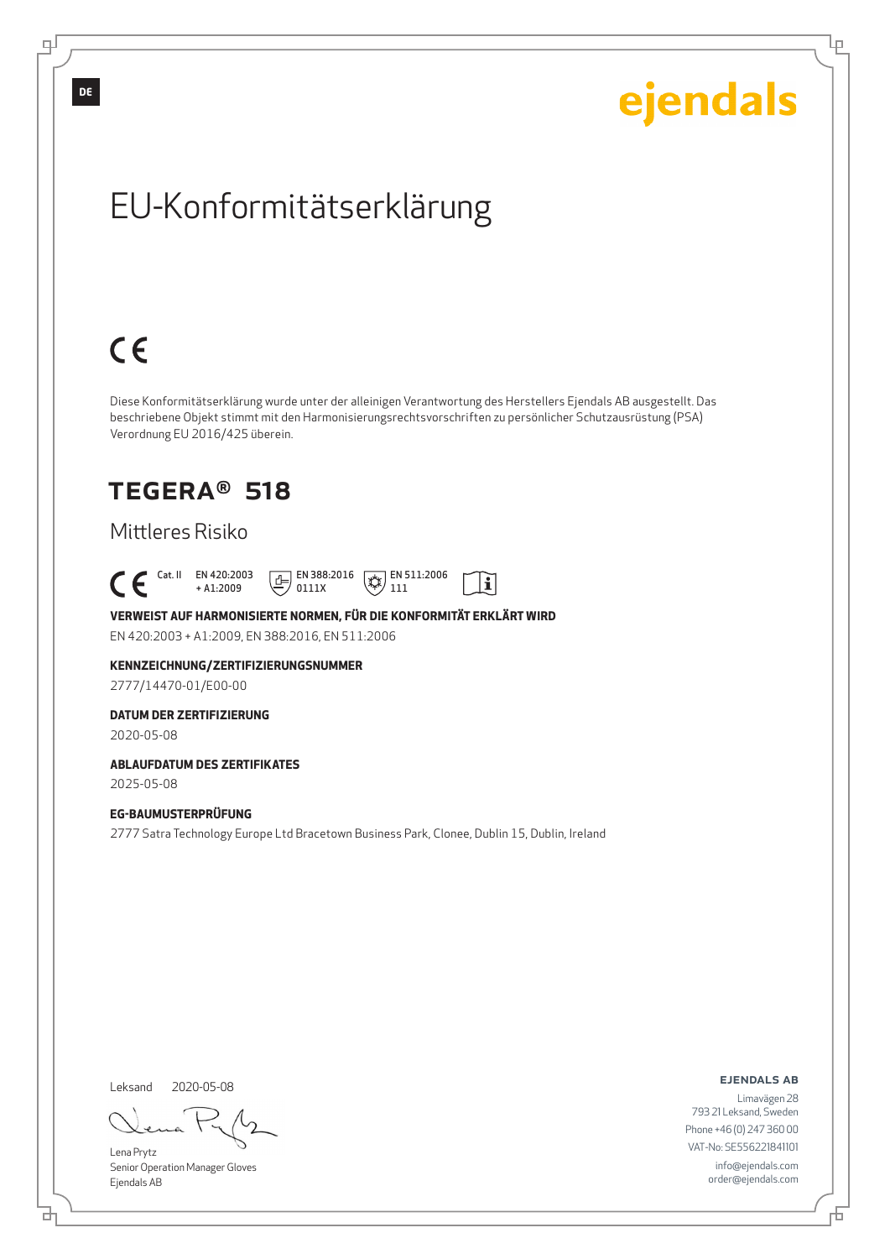Ļμ

# EU-Konformitätserklärung

# $C \in$

Diese Konformitätserklärung wurde unter der alleinigen Verantwortung des Herstellers Ejendals AB ausgestellt. Das beschriebene Objekt stimmt mit den Harmonisierungsrechtsvorschriften zu persönlicher Schutzausrüstung (PSA) Verordnung EU 2016/425 überein.

## TEGERA® 518

### Mittleres Risiko

 Cat. II EN 420:2003  $E$  EN 388:2016  $\mathbb{R}$  EN 511:2006  $|\tilde{\mathbf{i}}|$ + A1:2009 0111X 111

**VERWEIST AUF HARMONISIERTE NORMEN, FÜR DIE KONFORMITÄT ERKLÄRT WIRD** EN 420:2003 + A1:2009, EN 388:2016, EN 511:2006

**KENNZEICHNUNG/ZERTIFIZIERUNGSNUMMER**

2777/14470-01/E00-00

#### **DATUM DER ZERTIFIZIERUNG**

2020-05-08

### **ABLAUFDATUM DES ZERTIFIKATES**

2025-05-08

#### **EG-BAUMUSTERPRÜFUNG**

2777 Satra Technology Europe Ltd Bracetown Business Park, Clonee, Dublin 15, Dublin, Ireland

Leksand 2020-05-08

<u>다</u>

Lena Prytz Senior Operation Manager Gloves Ejendals AB

ejendals ab

Limavägen 28 793 21 Leksand, Sweden Phone +46 (0) 247 360 00 VAT-No: SE556221841101 info@ejendals.com order@ejendals.com

∓

Đ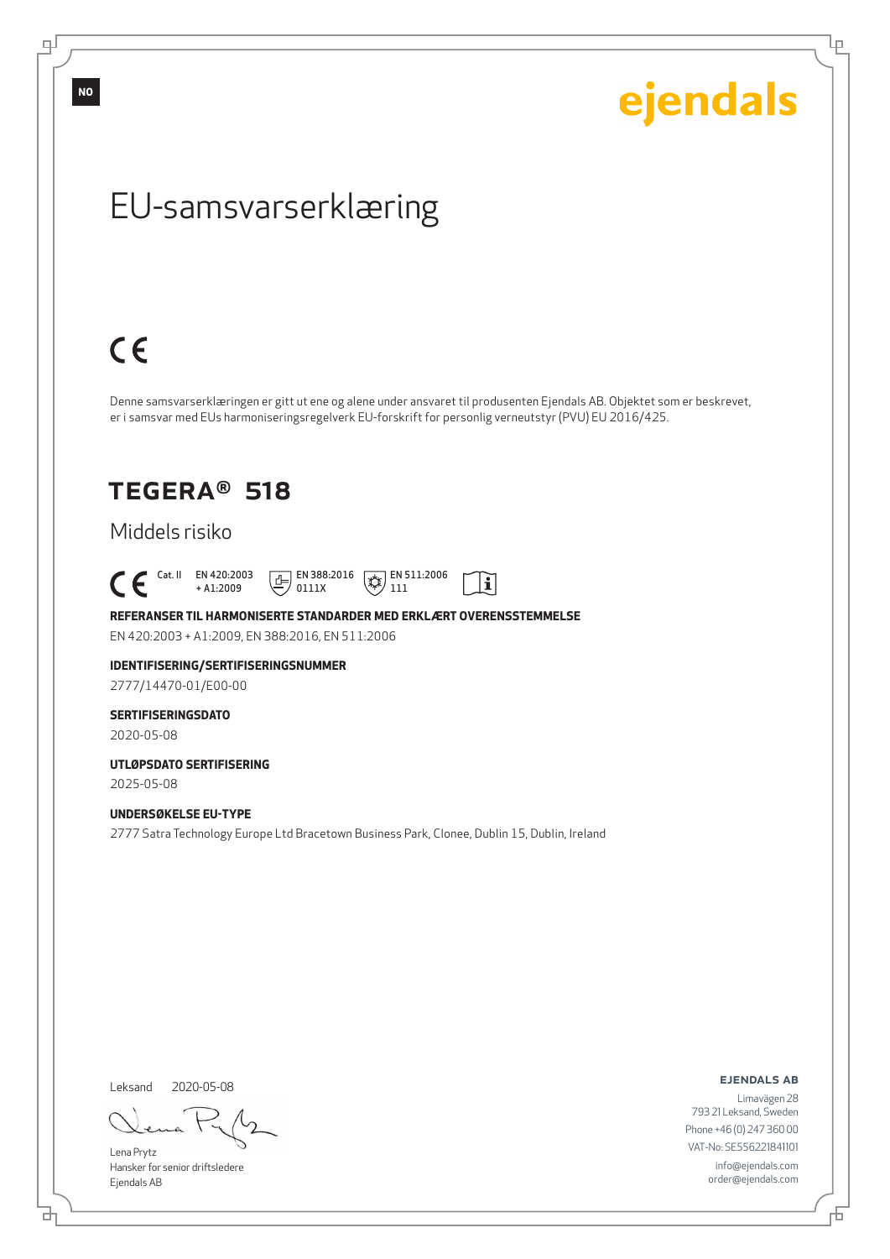டி

ejendals

Ļμ

## EU-samsvarserklæring

# $C \in$

Denne samsvarserklæringen er gitt ut ene og alene under ansvaret til produsenten Ejendals AB. Objektet som er beskrevet, er i samsvar med EUs harmoniseringsregelverk EU-forskrift for personlig verneutstyr (PVU) EU 2016/425.

 $|\tilde{\mathbf{i}}|$ 

## TEGERA® 518

### Middels risiko

 $\begin{bmatrix} \begin{array}{ccc} \text{Cat. II} & \text{EN } 420:2003 \\ + \text{A1:2009} \end{array} \end{bmatrix}$ + A1:2009  $\boxed{E}$  EN 388:2016 0111X  $\mathbb{R}$  EN 511:2006 111

**REFERANSER TIL HARMONISERTE STANDARDER MED ERKLÆRT OVERENSSTEMMELSE** EN 420:2003 + A1:2009, EN 388:2016, EN 511:2006

## **IDENTIFISERING/SERTIFISERINGSNUMMER**

2777/14470-01/E00-00

### **SERTIFISERINGSDATO**

2020-05-08

#### **UTLØPSDATO SERTIFISERING** 2025-05-08

**UNDERSØKELSE EU-TYPE**

2777 Satra Technology Europe Ltd Bracetown Business Park, Clonee, Dublin 15, Dublin, Ireland

Leksand 2020-05-08

<u>다</u>

Lena Prytz Hansker for senior driftsledere Ejendals AB

ejendals ab

Limavägen 28 793 21 Leksand, Sweden Phone +46 (0) 247 360 00 VAT-No: SE556221841101 info@ejendals.com order@ejendals.com

Đ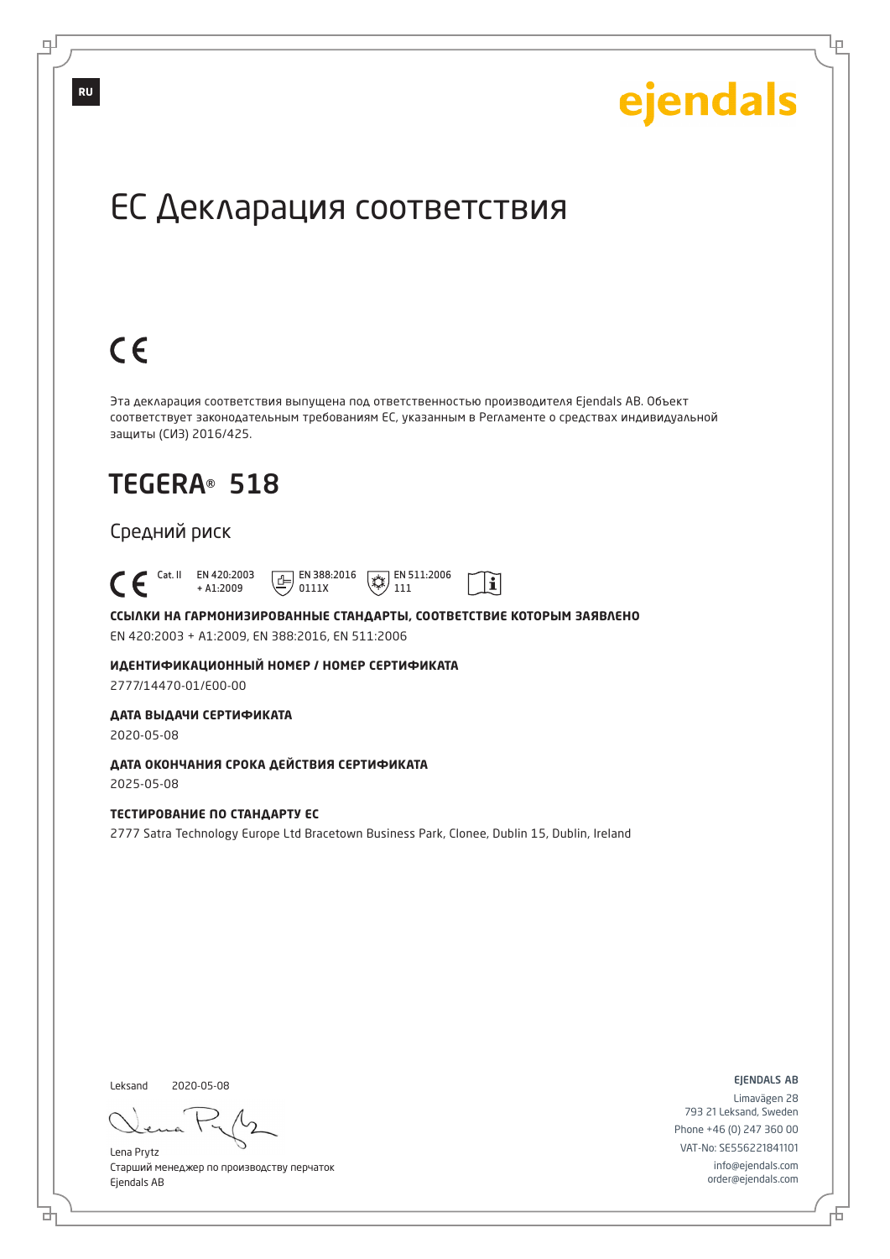Ļμ

## ЕС Декларация соответствия

# $C \in$

Эта декларация соответствия выпущена под ответственностью производителя Ejendals AB. Объект соответствует законодательным требованиям ЕС, указанным в Регламенте о средствах индивидуальной защиты (СИЗ) 2016/425.

 $|\tilde{\mathbf{i}}|$ 

## TEGERA® 518

### Средний риск

 Cat. II EN 420:2003 + A1:2009  $\boxed{E}$  EN 388:2016 0111X  $\overline{**}$  EN 511:2006 111

**ССЫЛКИ НА ГАРМОНИЗИРОВАННЫЕ СТАНДАРТЫ, СООТВЕТСТВИЕ КОТОРЫМ ЗАЯВЛЕНО** EN 420:2003 + A1:2009, EN 388:2016, EN 511:2006

**ИДЕНТИФИКАЦИОННЫЙ НОМЕР / НОМЕР СЕРТИФИКАТА** 2777/14470-01/E00-00

**ДАТА ВЫДАЧИ СЕРТИФИКАТА**

2020-05-08

**ДАТА ОКОНЧАНИЯ СРОКА ДЕЙСТВИЯ СЕРТИФИКАТА** 2025-05-08

#### **ТЕСТИРОВАНИЕ ПО СТАНДАРТУ ЕС**

2777 Satra Technology Europe Ltd Bracetown Business Park, Clonee, Dublin 15, Dublin, Ireland

Leksand 2020-05-08

브

Lena Prytz Старший менеджер по производству перчаток Ejendals AB

ejendals ab

Đ

Limavägen 28 793 21 Leksand, Sweden Phone +46 (0) 247 360 00 VAT-No: SE556221841101 info@ejendals.com order@ejendals.com

டி

**RU**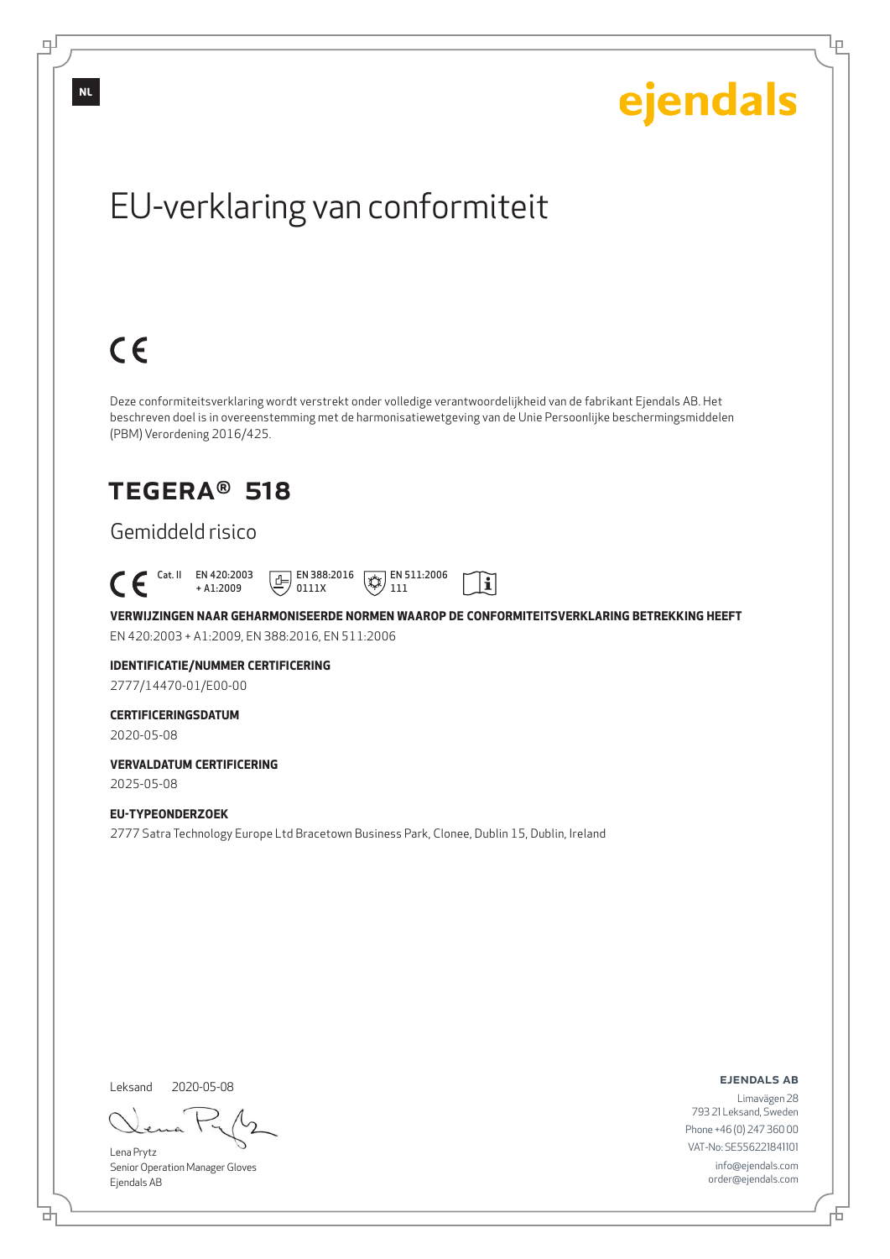Ļμ

# EU-verklaring van conformiteit

# $C \in$

Deze conformiteitsverklaring wordt verstrekt onder volledige verantwoordelijkheid van de fabrikant Ejendals AB. Het beschreven doel is in overeenstemming met de harmonisatiewetgeving van de Unie Persoonlijke beschermingsmiddelen (PBM) Verordening 2016/425.

## TEGERA® 518

### Gemiddeld risico

 Cat. II EN 420:2003  $E$  EN 388:2016  $\mathbb{R}$  EN 511:2006  $\mathbf{i}$ + A1:2009 0111X 111

**VERWIJZINGEN NAAR GEHARMONISEERDE NORMEN WAAROP DE CONFORMITEITSVERKLARING BETREKKING HEEFT** EN 420:2003 + A1:2009, EN 388:2016, EN 511:2006

### **IDENTIFICATIE/NUMMER CERTIFICERING**

2777/14470-01/E00-00

### **CERTIFICERINGSDATUM**

2020-05-08

#### **VERVALDATUM CERTIFICERING** 2025-05-08

**EU-TYPEONDERZOEK**

#### 2777 Satra Technology Europe Ltd Bracetown Business Park, Clonee, Dublin 15, Dublin, Ireland

Leksand

브

2020-05-08

Lena Prytz Senior Operation Manager Gloves Ejendals AB

ejendals ab

Đ

Limavägen 28 793 21 Leksand, Sweden Phone +46 (0) 247 360 00 VAT-No: SE556221841101 info@ejendals.com order@ejendals.com

டி

**NL**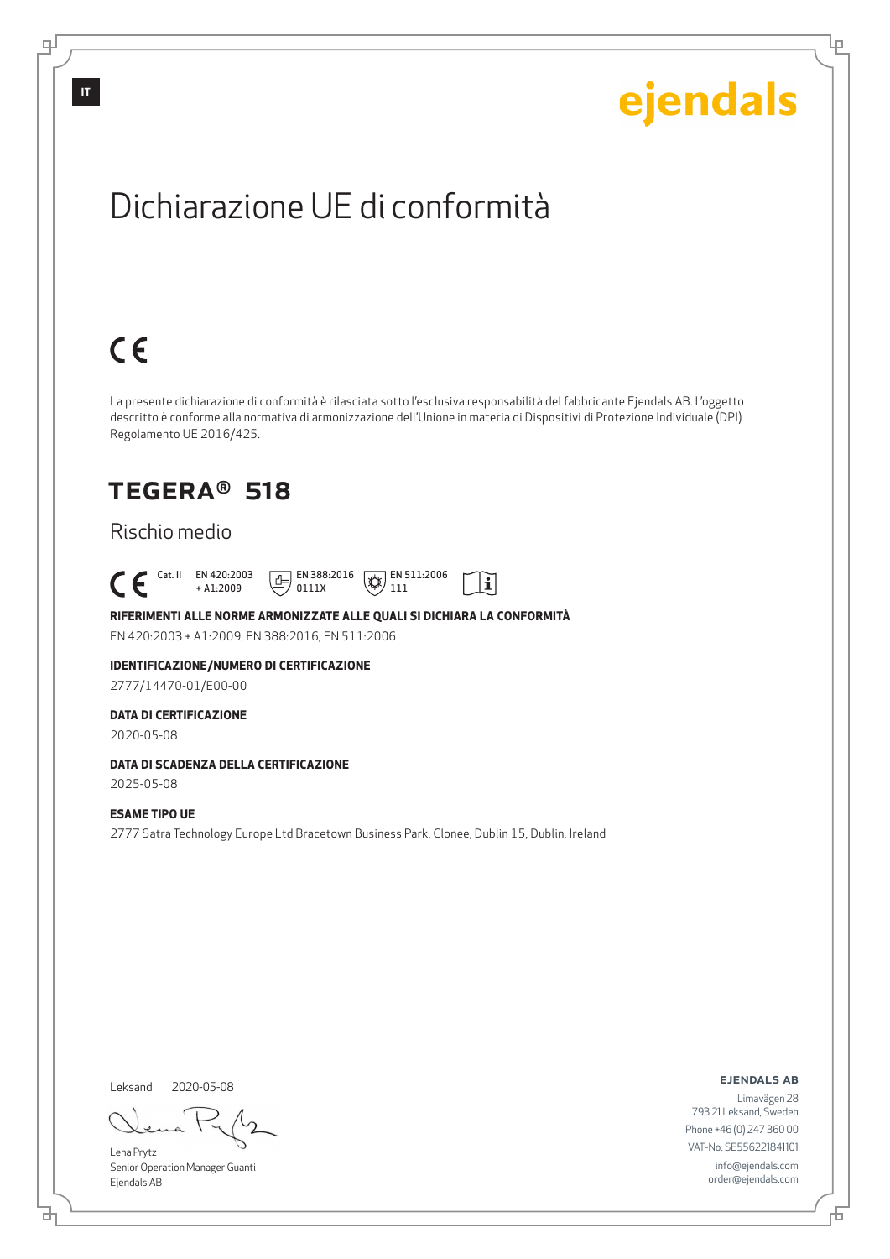Lρ

## Dichiarazione UE di conformità

# $C \in$

La presente dichiarazione di conformità è rilasciata sotto l'esclusiva responsabilità del fabbricante Ejendals AB. L'oggetto descritto è conforme alla normativa di armonizzazione dell'Unione in materia di Dispositivi di Protezione Individuale (DPI) Regolamento UE 2016/425.

 $\mathbf{i}$ 

## TEGERA® 518

### Rischio medio

 Cat. II EN 420:2003 + A1:2009  $\boxed{E}$  EN 388:2016 0111X  $\mathbb{R}$  EN 511:2006 111

### **RIFERIMENTI ALLE NORME ARMONIZZATE ALLE QUALI SI DICHIARA LA CONFORMITÀ**

EN 420:2003 + A1:2009, EN 388:2016, EN 511:2006

### **IDENTIFICAZIONE/NUMERO DI CERTIFICAZIONE**

2777/14470-01/E00-00

#### **DATA DI CERTIFICAZIONE**

2020-05-08

### **DATA DI SCADENZA DELLA CERTIFICAZIONE**

2025-05-08

#### **ESAME TIPO UE**

2777 Satra Technology Europe Ltd Bracetown Business Park, Clonee, Dublin 15, Dublin, Ireland

Leksand

<u>다</u>

2020-05-08

Lena Prytz Senior Operation Manager Guanti Ejendals AB

#### ejendals ab

Đ

Limavägen 28 793 21 Leksand, Sweden Phone +46 (0) 247 360 00 VAT-No: SE556221841101 info@ejendals.com order@ejendals.com

டி

**IT**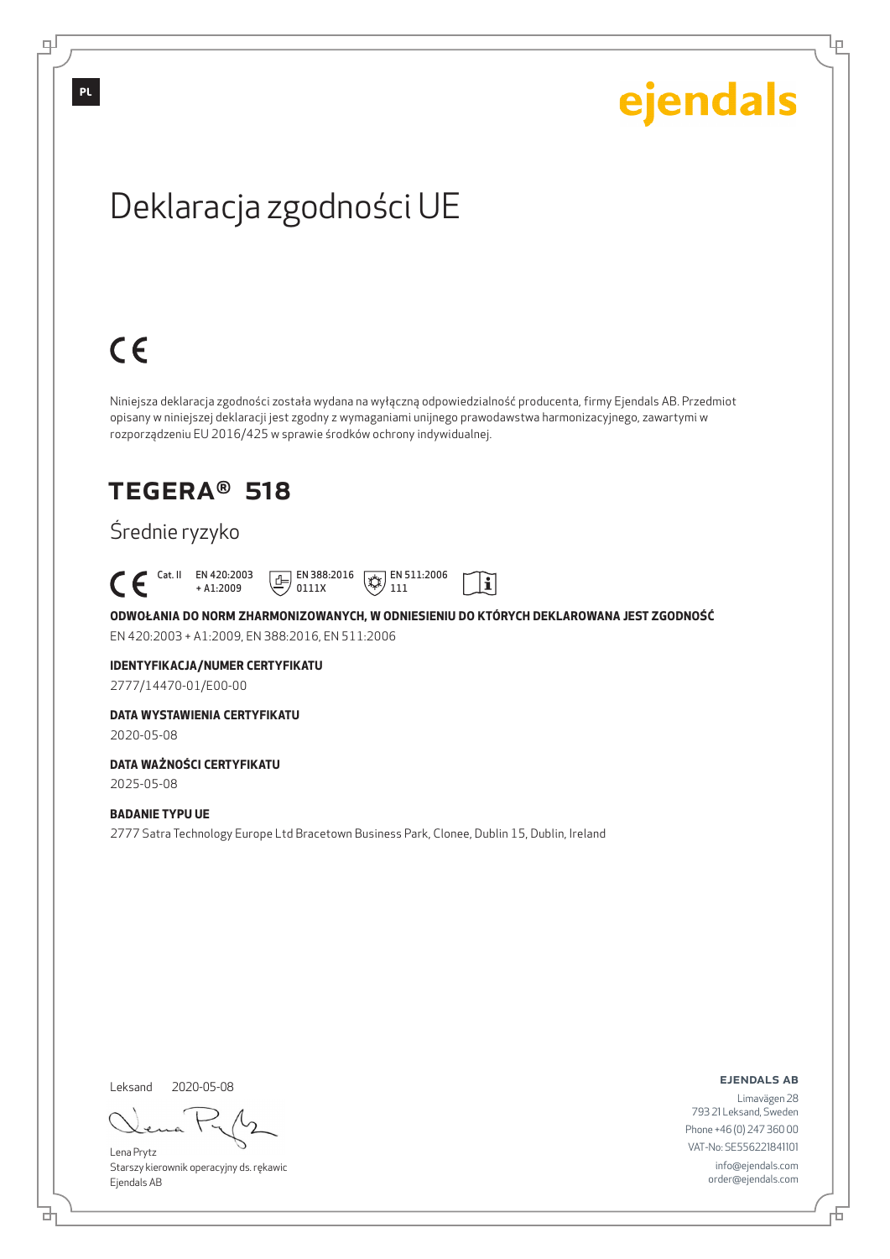Lρ

# Deklaracja zgodności UE

# $C \in$

Niniejsza deklaracja zgodności została wydana na wyłączną odpowiedzialność producenta, firmy Ejendals AB. Przedmiot opisany w niniejszej deklaracji jest zgodny z wymaganiami unijnego prawodawstwa harmonizacyjnego, zawartymi w rozporządzeniu EU 2016/425 w sprawie środków ochrony indywidualnej.

## TEGERA® 518

## Średnie ryzyko

|  | $+$ A1:2009 | Cat. II EN 420:2003 $\boxed{1}$ EN 388:2016 $\boxed{\frac{1}{2}}$ EN 511:2006 $\boxed{1}$<br>$\equiv$ / 0111X | $\langle \gamma \gamma \rangle$ 111 |  |
|--|-------------|---------------------------------------------------------------------------------------------------------------|-------------------------------------|--|
|  |             |                                                                                                               |                                     |  |

**ODWOŁANIA DO NORM ZHARMONIZOWANYCH, W ODNIESIENIU DO KTÓRYCH DEKLAROWANA JEST ZGODNOŚĆ** EN 420:2003 + A1:2009, EN 388:2016, EN 511:2006

### **IDENTYFIKACJA/NUMER CERTYFIKATU**

2777/14470-01/E00-00

#### **DATA WYSTAWIENIA CERTYFIKATU**

2020-05-08

### **DATA WAŻNOŚCI CERTYFIKATU**

2025-05-08

#### **BADANIE TYPU UE**

2777 Satra Technology Europe Ltd Bracetown Business Park, Clonee, Dublin 15, Dublin, Ireland

Leksand 2020-05-08

브

Lena Prytz Starszy kierownik operacyjny ds. rękawic Ejendals AB

ejendals ab

Б

Limavägen 28 793 21 Leksand, Sweden Phone +46 (0) 247 360 00 VAT-No: SE556221841101 info@ejendals.com order@ejendals.com

**PL**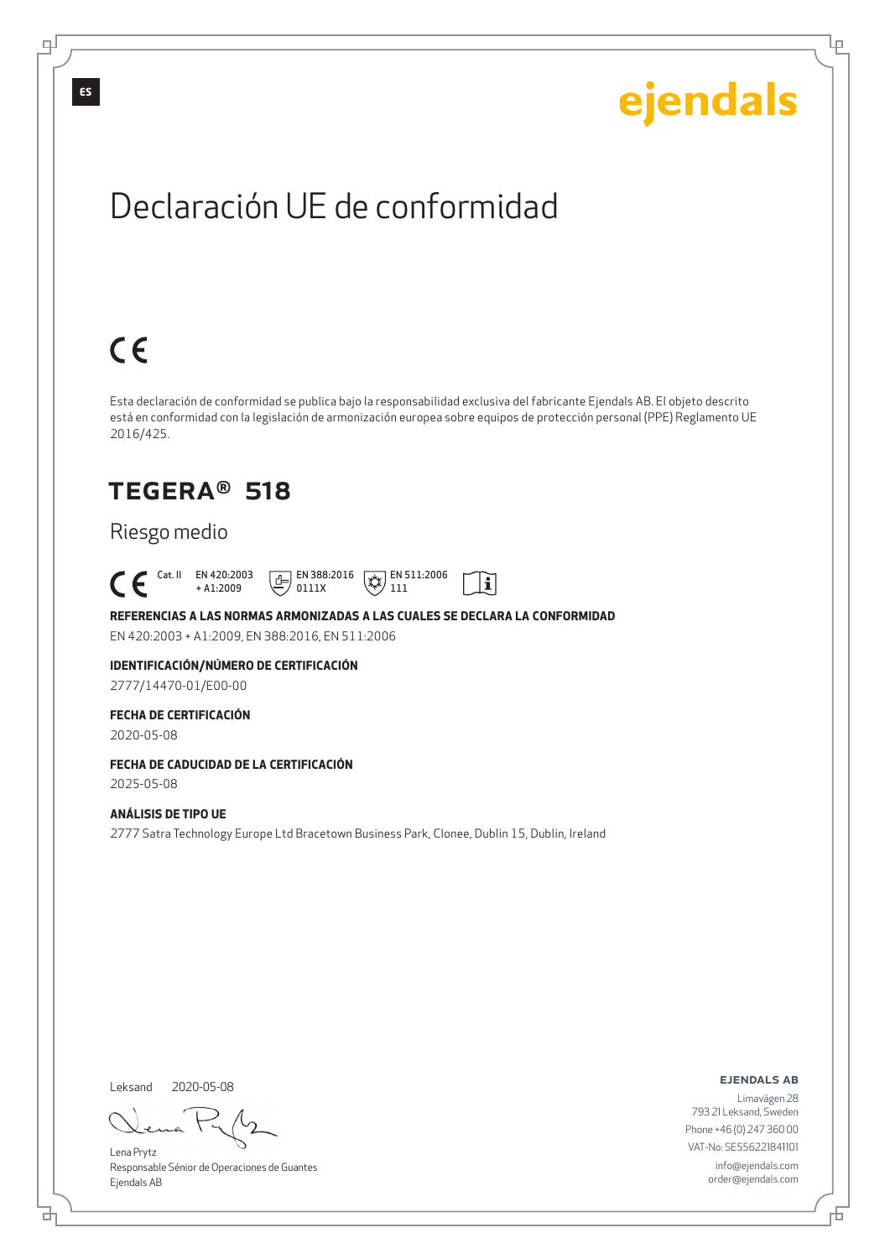Lρ

## Declaración UE de conformidad

# $C \in$

Esta declaración de conformidad se publica bajo la responsabilidad exclusiva del fabricante Ejendals AB. El objeto descrito está en conformidad con la legislación de armonización europea sobre equipos de protección personal (PPE) Reglamento UE 2016/425.

 $\mathbf{i}$ 

## TEGERA® 518

### Riesgo medio

 Cat. II EN 420:2003 + A1:2009  $E$  EN 388:2016 0111X  $\mathbb{R}$  EN 511:2006 111

**REFERENCIAS A LAS NORMAS ARMONIZADAS A LAS CUALES SE DECLARA LA CONFORMIDAD** EN 420:2003 + A1:2009, EN 388:2016, EN 511:2006

**IDENTIFICACIÓN/NÚMERO DE CERTIFICACIÓN**

2777/14470-01/E00-00

### **FECHA DE CERTIFICACIÓN**

2020-05-08

## **FECHA DE CADUCIDAD DE LA CERTIFICACIÓN**

2025-05-08

### **ANÁLISIS DE TIPO UE**

2777 Satra Technology Europe Ltd Bracetown Business Park, Clonee, Dublin 15, Dublin, Ireland

Leksand 2020-05-08

<u>다</u>

Lena Prytz Responsable Sénior de Operaciones de Guantes Ejendals AB

ejendals ab

Б

Limavägen 28 793 21 Leksand, Sweden Phone +46 (0) 247 360 00 VAT-No: SE556221841101 info@ejendals.com order@ejendals.com

டி

**ES**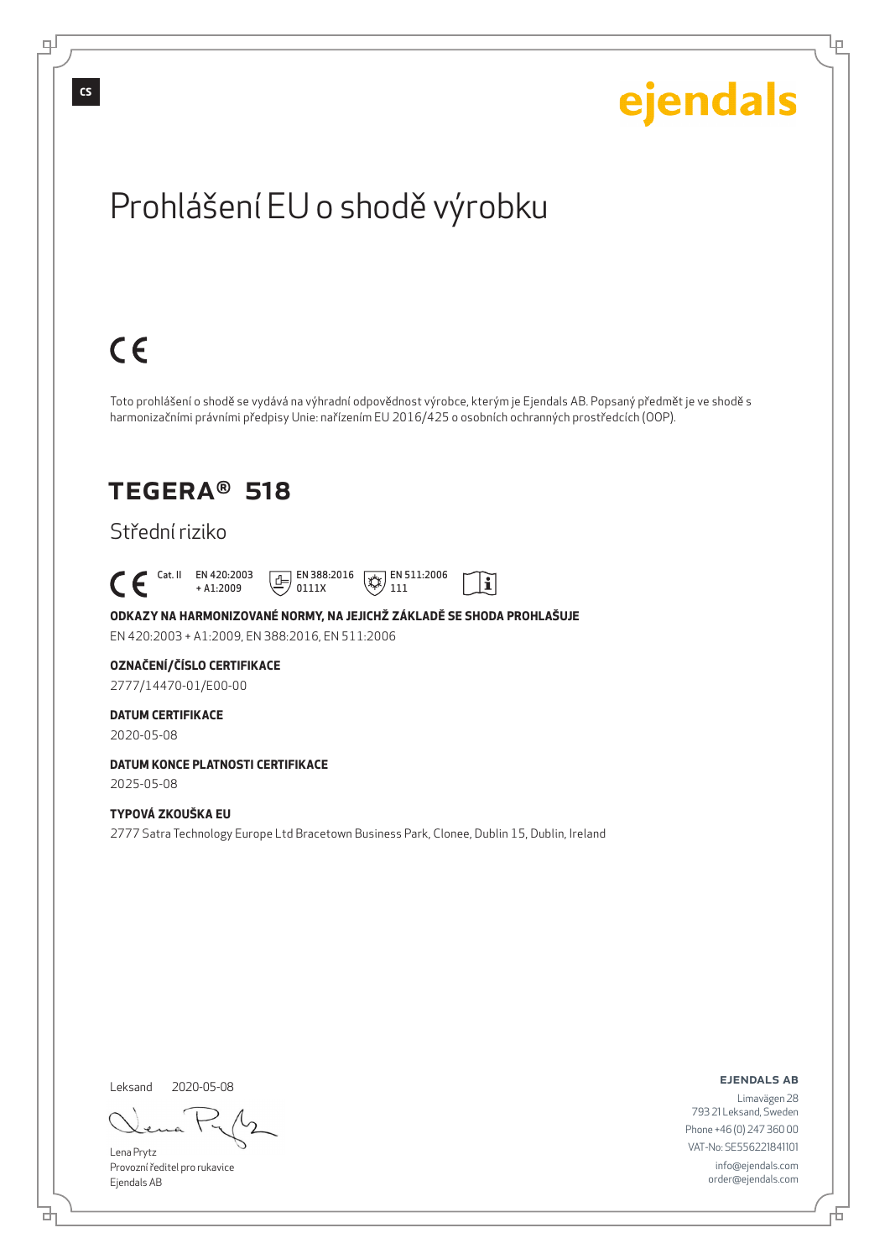டி

Lρ

# Prohlášení EU o shodě výrobku

# $C \in$

Toto prohlášení o shodě se vydává na výhradní odpovědnost výrobce, kterým je Ejendals AB. Popsaný předmět je ve shodě s harmonizačními právními předpisy Unie: nařízením EU 2016/425 o osobních ochranných prostředcích (OOP).

 $|\tilde{\mathbf{i}}|$ 

## TEGERA® 518

### Střední riziko

 Cat. II EN 420:2003 + A1:2009  $\boxed{E}$  EN 388:2016 0111X  $\mathbb{R}$  EN 511:2006 111

**ODKAZY NA HARMONIZOVANÉ NORMY, NA JEJICHŽ ZÁKLADĚ SE SHODA PROHLAŠUJE** EN 420:2003 + A1:2009, EN 388:2016, EN 511:2006

### **OZNAČENÍ/ČÍSLO CERTIFIKACE**

2777/14470-01/E00-00

### **DATUM CERTIFIKACE**

2020-05-08

#### **DATUM KONCE PLATNOSTI CERTIFIKACE** 2025-05-08

### **TYPOVÁ ZKOUŠKA EU**

2777 Satra Technology Europe Ltd Bracetown Business Park, Clonee, Dublin 15, Dublin, Ireland

Leksand 2020-05-08

đ

Lena Prytz Provozní ředitel pro rukavice Ejendals AB

ejendals ab

Đ

Limavägen 28 793 21 Leksand, Sweden Phone +46 (0) 247 360 00 VAT-No: SE556221841101 info@ejendals.com order@ejendals.com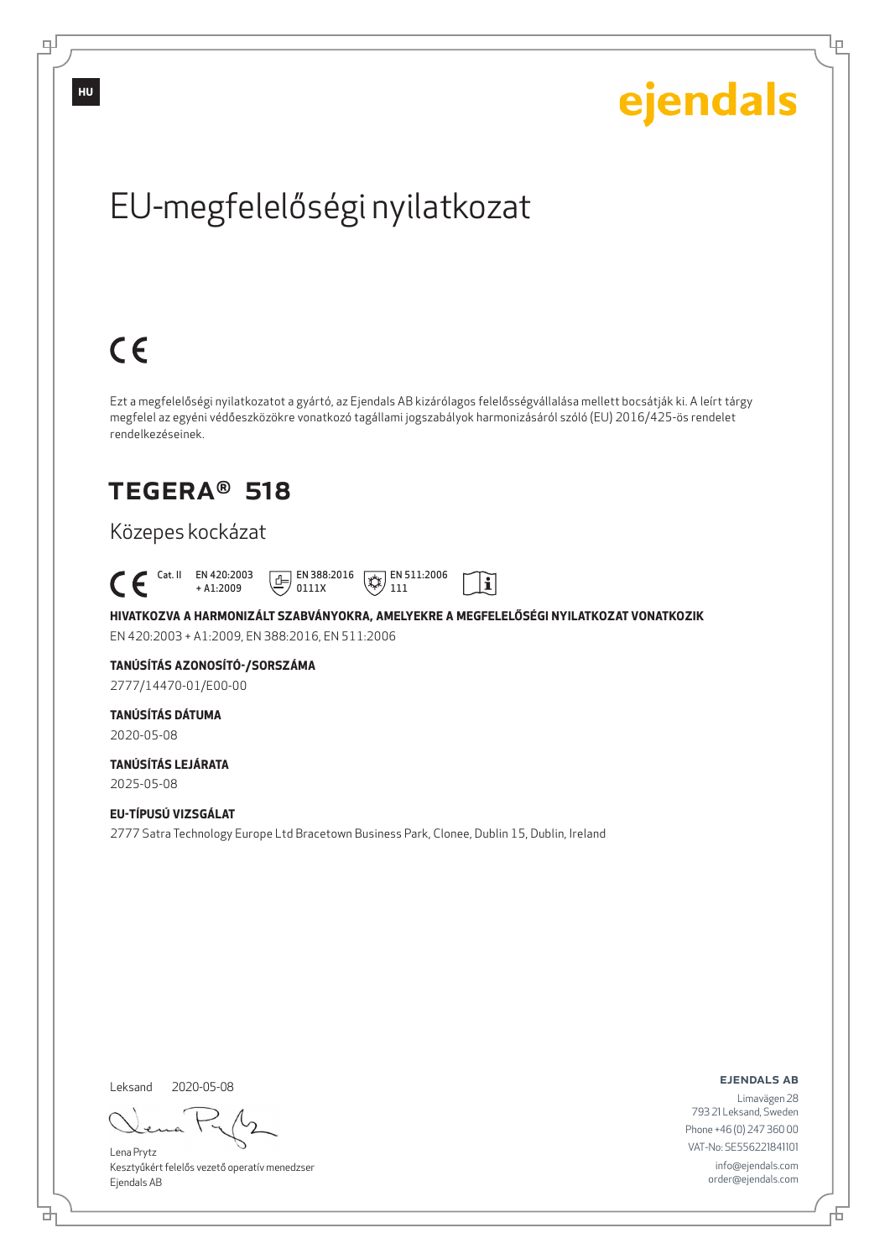Ļμ

# EU-megfelelőségi nyilatkozat

# $C \in$

Ezt a megfelelőségi nyilatkozatot a gyártó, az Ejendals AB kizárólagos felelősségvállalása mellett bocsátják ki. A leírt tárgy megfelel az egyéni védőeszközökre vonatkozó tagállami jogszabályok harmonizásáról szóló (EU) 2016/425-ös rendelet rendelkezéseinek.

## TEGERA® 518

### Közepes kockázat

 Cat. II EN 420:2003  $\boxed{\underline{f}}$  EN 388:2016  $\mathbb{R}$  EN 511:2006  $\mathbf{i}$ + A1:2009 0111X 111

**HIVATKOZVA A HARMONIZÁLT SZABVÁNYOKRA, AMELYEKRE A MEGFELELŐSÉGI NYILATKOZAT VONATKOZIK** EN 420:2003 + A1:2009, EN 388:2016, EN 511:2006

## **TANÚSÍTÁS AZONOSÍTÓ-/SORSZÁMA**

2777/14470-01/E00-00

### **TANÚSÍTÁS DÁTUMA**

2020-05-08

#### **TANÚSÍTÁS LEJÁRATA** 2025-05-08

**EU-TÍPUSÚ VIZSGÁLAT** 2777 Satra Technology Europe Ltd Bracetown Business Park, Clonee, Dublin 15, Dublin, Ireland

Leksand 2020-05-08

브

Lena Prytz Kesztyűkért felelős vezető operatív menedzser Ejendals AB

ejendals ab

Б

Limavägen 28 793 21 Leksand, Sweden Phone +46 (0) 247 360 00 VAT-No: SE556221841101 info@ejendals.com order@ejendals.com

டி

**HU**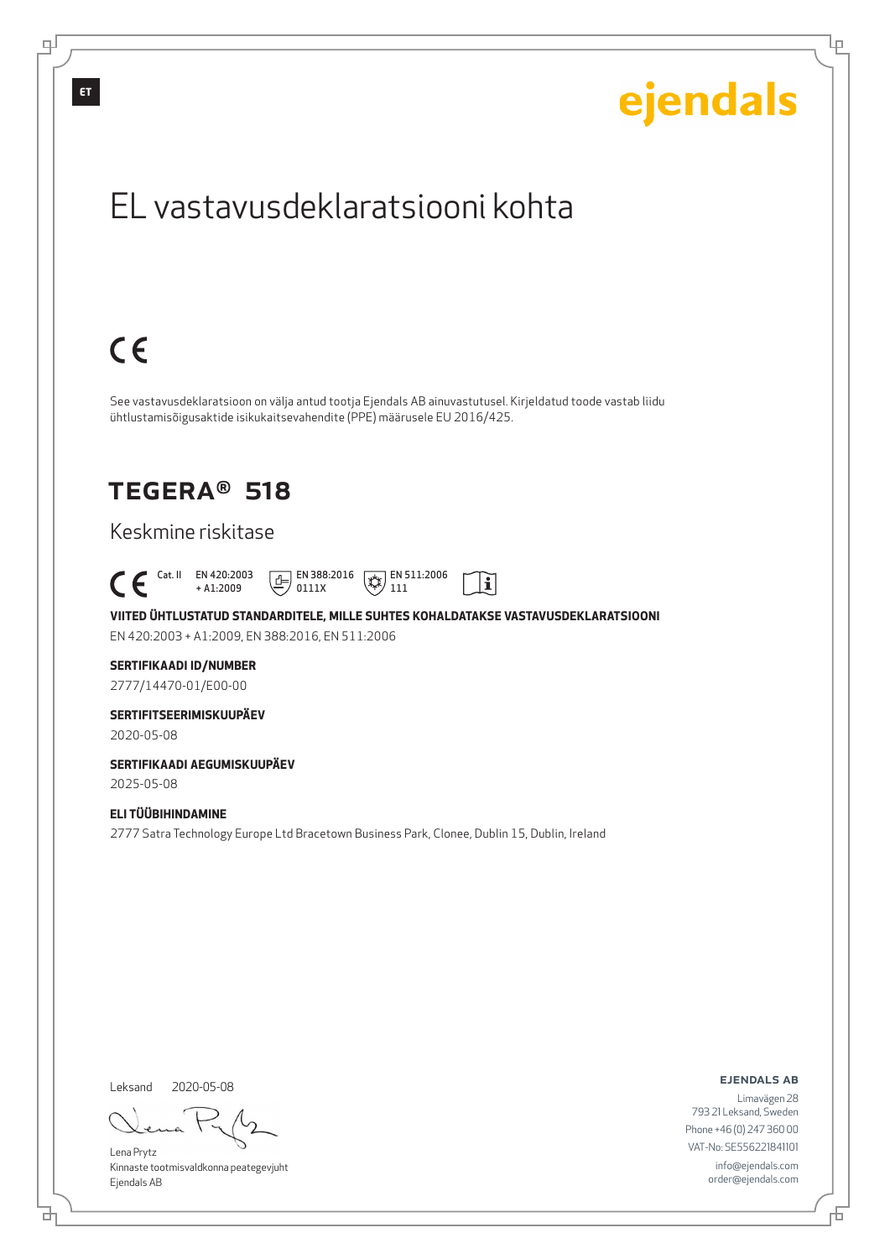

Leksand 2020-05-08

<u>다</u>

டி

Lena Prytz Kinnaste tootmisvaldkonna peategevjuht Ejendals AB

ejendals ab

Lρ

Limavägen 28 793 21 Leksand, Sweden Phone +46 (0) 247 360 00 VAT-No: SE556221841101 info@ejendals.com order@ejendals.com

Đ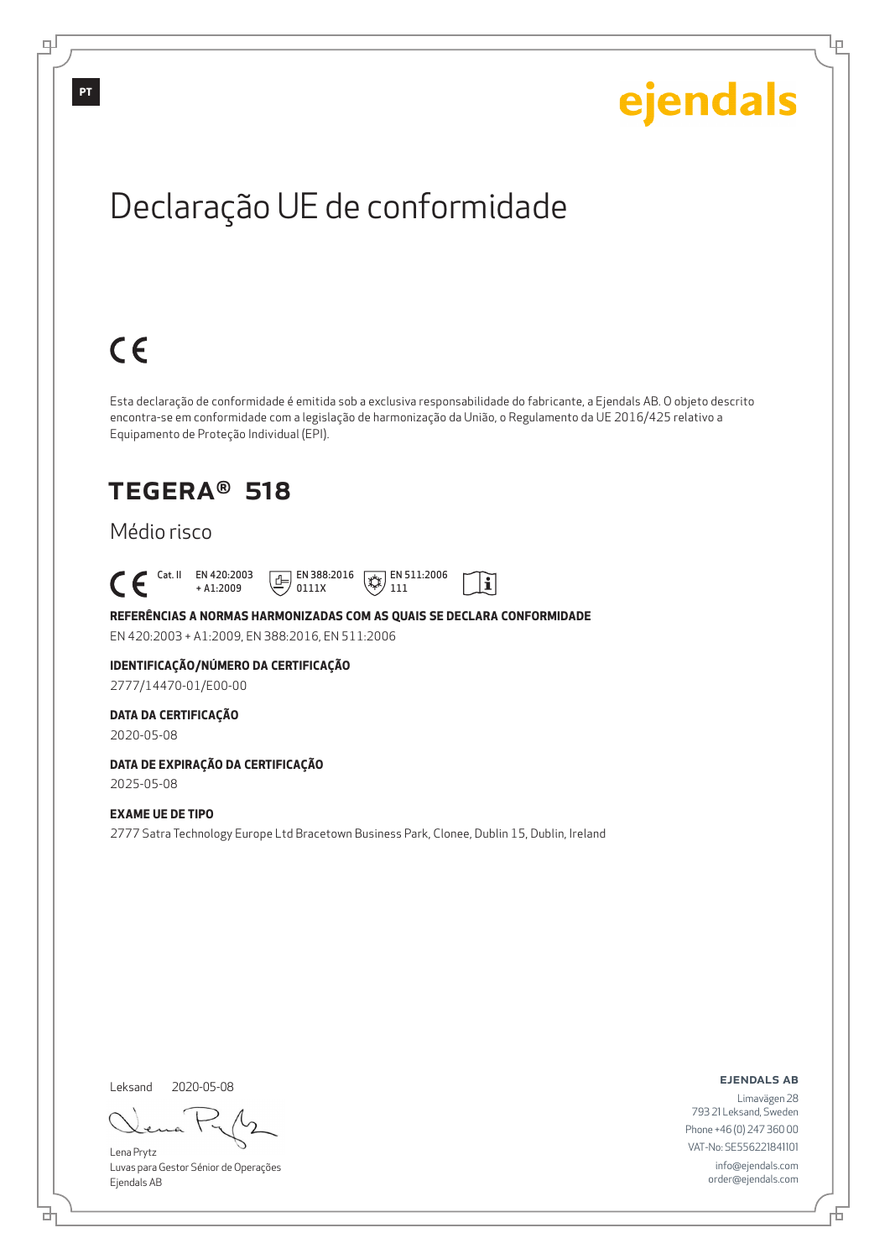Ļμ

# Declaração UE de conformidade

# $C \in$

Esta declaração de conformidade é emitida sob a exclusiva responsabilidade do fabricante, a Ejendals AB. O objeto descrito encontra-se em conformidade com a legislação de harmonização da União, o Regulamento da UE 2016/425 relativo a Equipamento de Proteção Individual (EPI).

 $|\tilde{\mathbf{i}}|$ 

## TEGERA® 518

### Médio risco

 Cat. II EN 420:2003 + A1:2009  $E$  EN 388:2016 0111X  $\mathbb{R}$  EN 511:2006 111

**REFERÊNCIAS A NORMAS HARMONIZADAS COM AS QUAIS SE DECLARA CONFORMIDADE** EN 420:2003 + A1:2009, EN 388:2016, EN 511:2006

## **IDENTIFICAÇÃO/NÚMERO DA CERTIFICAÇÃO**

2777/14470-01/E00-00

### **DATA DA CERTIFICAÇÃO**

2020-05-08

#### **DATA DE EXPIRAÇÃO DA CERTIFICAÇÃO** 2025-05-08

### **EXAME UE DE TIPO**

2777 Satra Technology Europe Ltd Bracetown Business Park, Clonee, Dublin 15, Dublin, Ireland

Leksand 2020-05-08

브

Lena Prytz Luvas para Gestor Sénior de Operações Ejendals AB

ejendals ab

Б

Limavägen 28 793 21 Leksand, Sweden Phone +46 (0) 247 360 00 VAT-No: SE556221841101 info@ejendals.com order@ejendals.com

**PT**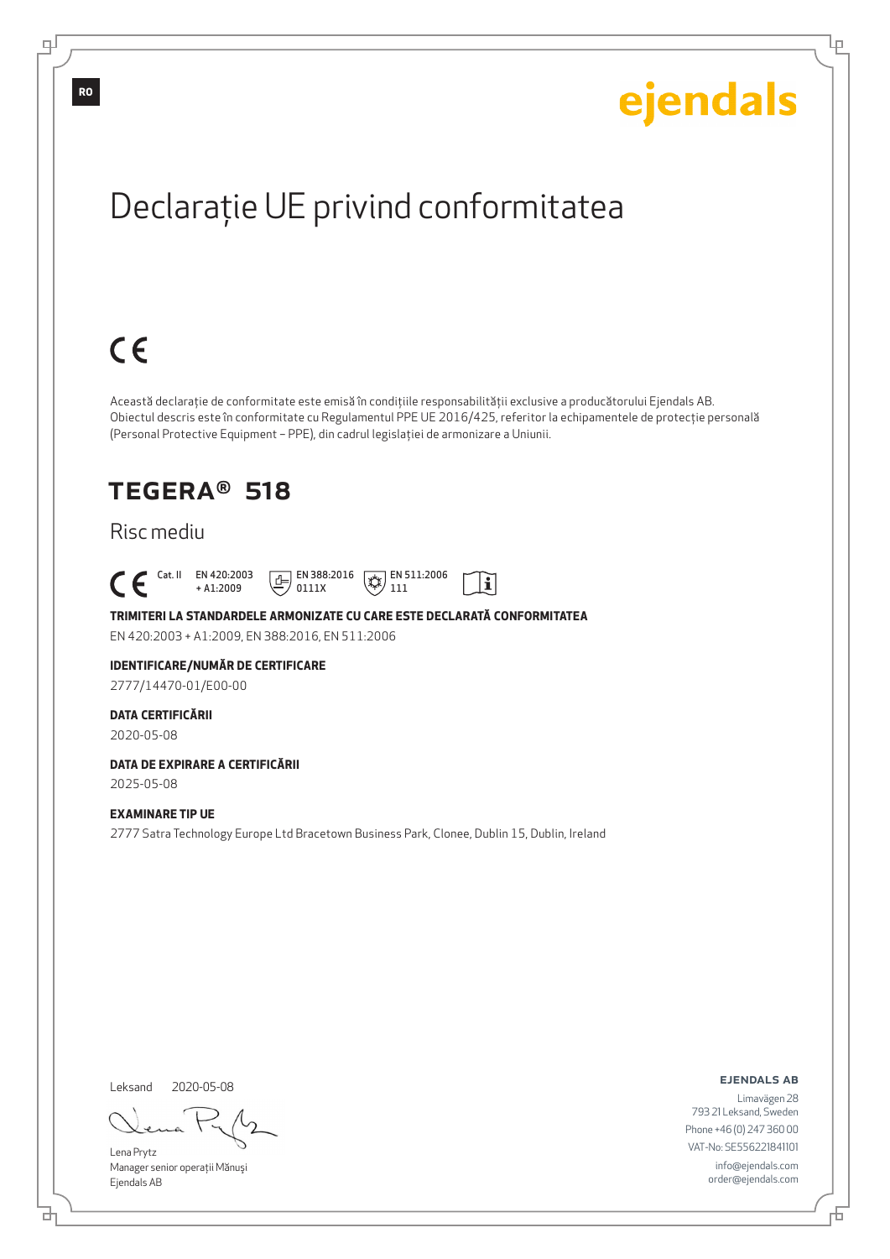Ļμ

# Declaraţie UE privind conformitatea

# $C \in$

Această declaraţie de conformitate este emisă în condiţiile responsabilităţii exclusive a producătorului Ejendals AB. Obiectul descris este în conformitate cu Regulamentul PPE UE 2016/425, referitor la echipamentele de protecţie personală (Personal Protective Equipment – PPE), din cadrul legislaţiei de armonizare a Uniunii.

> $\mathbb{R}$  EN 511:2006 111

 $|\tilde{\mathbf{i}}|$ 

## TEGERA® 518

### Risc mediu

 Cat. II EN 420:2003 + A1:2009  $E$  EN 388:2016 0111X

**TRIMITERI LA STANDARDELE ARMONIZATE CU CARE ESTE DECLARATĂ CONFORMITATEA** EN 420:2003 + A1:2009, EN 388:2016, EN 511:2006

#### **IDENTIFICARE/NUMĂR DE CERTIFICARE**

2777/14470-01/E00-00

#### **DATA CERTIFICĂRII**

2020-05-08

## **DATA DE EXPIRARE A CERTIFICĂRII**

2025-05-08

### **EXAMINARE TIP UE**

2777 Satra Technology Europe Ltd Bracetown Business Park, Clonee, Dublin 15, Dublin, Ireland

Leksand 2020-05-08

브

Lena Prytz Manager senior operaţii Mănuşi Ejendals AB

ejendals ab

Б

Limavägen 28 793 21 Leksand, Sweden Phone +46 (0) 247 360 00 VAT-No: SE556221841101 info@ejendals.com order@ejendals.com

∓

**RO**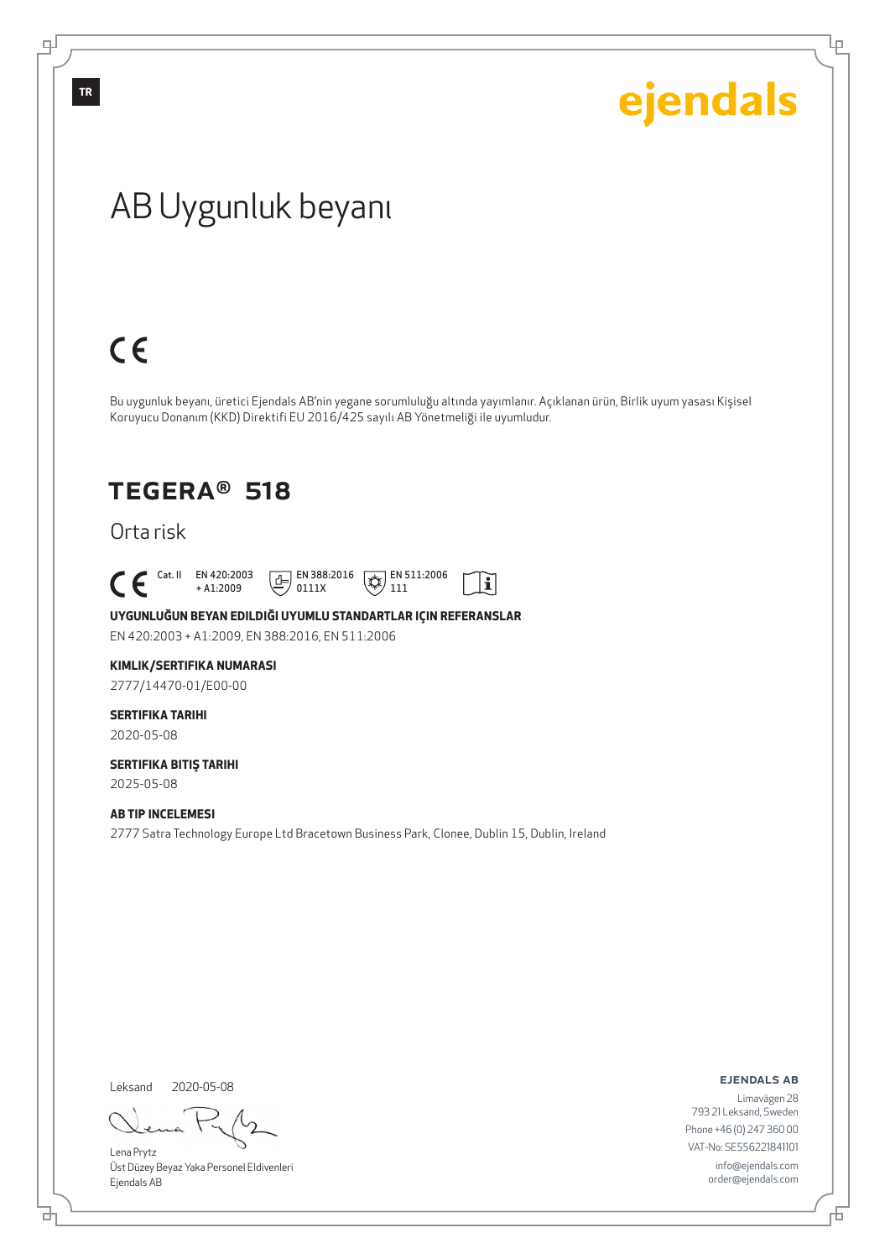Ļμ

## AB Uygunluk beyanı

# $C \in$

Bu uygunluk beyanı, üretici Ejendals AB'nin yegane sorumluluğu altında yayımlanır. Açıklanan ürün, Birlik uyum yasası Kişisel Koruyucu Donanım (KKD) Direktifi EU 2016/425 sayılı AB Yönetmeliği ile uyumludur.

## TEGERA® 518

Orta risk

 $\begin{bmatrix} \text{Cat. II} & \text{EN } 420:2003 \\ + A1:2009 \end{bmatrix}$ 

+ A1:2009  $\boxed{E}$  EN 388:2016 0111X



 $|\tilde{\mathbf{i}}|$ 

**UYGUNLUĞUN BEYAN EDILDIĞI UYUMLU STANDARTLAR IÇIN REFERANSLAR**

EN 420:2003 + A1:2009, EN 388:2016, EN 511:2006

#### **KIMLIK/SERTIFIKA NUMARASI**

2777/14470-01/E00-00

## **SERTIFIKA TARIHI**

2020-05-08

#### **SERTIFIKA BITIŞ TARIHI** 2025-05-08

### **AB TIP INCELEMESI**

2777 Satra Technology Europe Ltd Bracetown Business Park, Clonee, Dublin 15, Dublin, Ireland

Leksand 2020-05-08

đ

Lena Prytz Üst Düzey Beyaz Yaka Personel Eldivenleri Ejendals AB

ejendals ab

舌

Limavägen 28 793 21 Leksand, Sweden Phone +46 (0) 247 360 00 VAT-No: SE556221841101 info@ejendals.com order@ejendals.com

டி

**TR**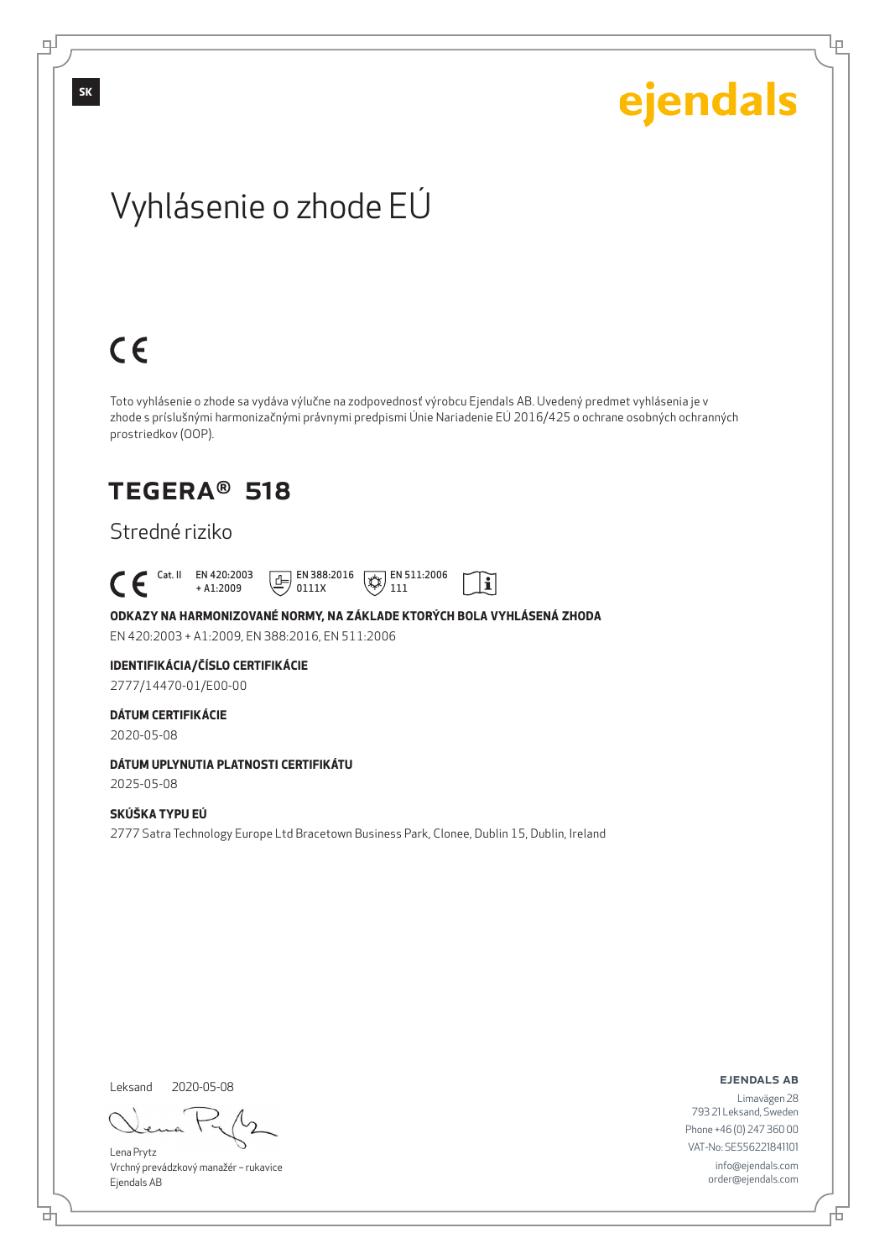Lρ

## Vyhlásenie o zhode EÚ

# $C \in$

Toto vyhlásenie o zhode sa vydáva výlučne na zodpovednosť výrobcu Ejendals AB. Uvedený predmet vyhlásenia je v zhode s príslušnými harmonizačnými právnymi predpismi Únie Nariadenie EÚ 2016/425 o ochrane osobných ochranných prostriedkov (OOP).

 $|\tilde{\mathbf{i}}|$ 

## TEGERA® 518

### Stredné riziko

 Cat. II EN 420:2003 + A1:2009  $\boxed{E}$  EN 388:2016 0111X  $\mathbb{R}$  EN 511:2006 111

**ODKAZY NA HARMONIZOVANÉ NORMY, NA ZÁKLADE KTORÝCH BOLA VYHLÁSENÁ ZHODA** EN 420:2003 + A1:2009, EN 388:2016, EN 511:2006

### **IDENTIFIKÁCIA/ČÍSLO CERTIFIKÁCIE**

2777/14470-01/E00-00

### **DÁTUM CERTIFIKÁCIE**

2020-05-08

### **DÁTUM UPLYNUTIA PLATNOSTI CERTIFIKÁTU**

2025-05-08

### **SKÚŠKA TYPU EÚ**

2777 Satra Technology Europe Ltd Bracetown Business Park, Clonee, Dublin 15, Dublin, Ireland

Leksand 2020-05-08

<u>다</u>

Lena Prytz Vrchný prevádzkový manažér – rukavice Ejendals AB

#### ejendals ab

Đ

Limavägen 28 793 21 Leksand, Sweden Phone +46 (0) 247 360 00 VAT-No: SE556221841101 info@ejendals.com order@ejendals.com

டி

**SK**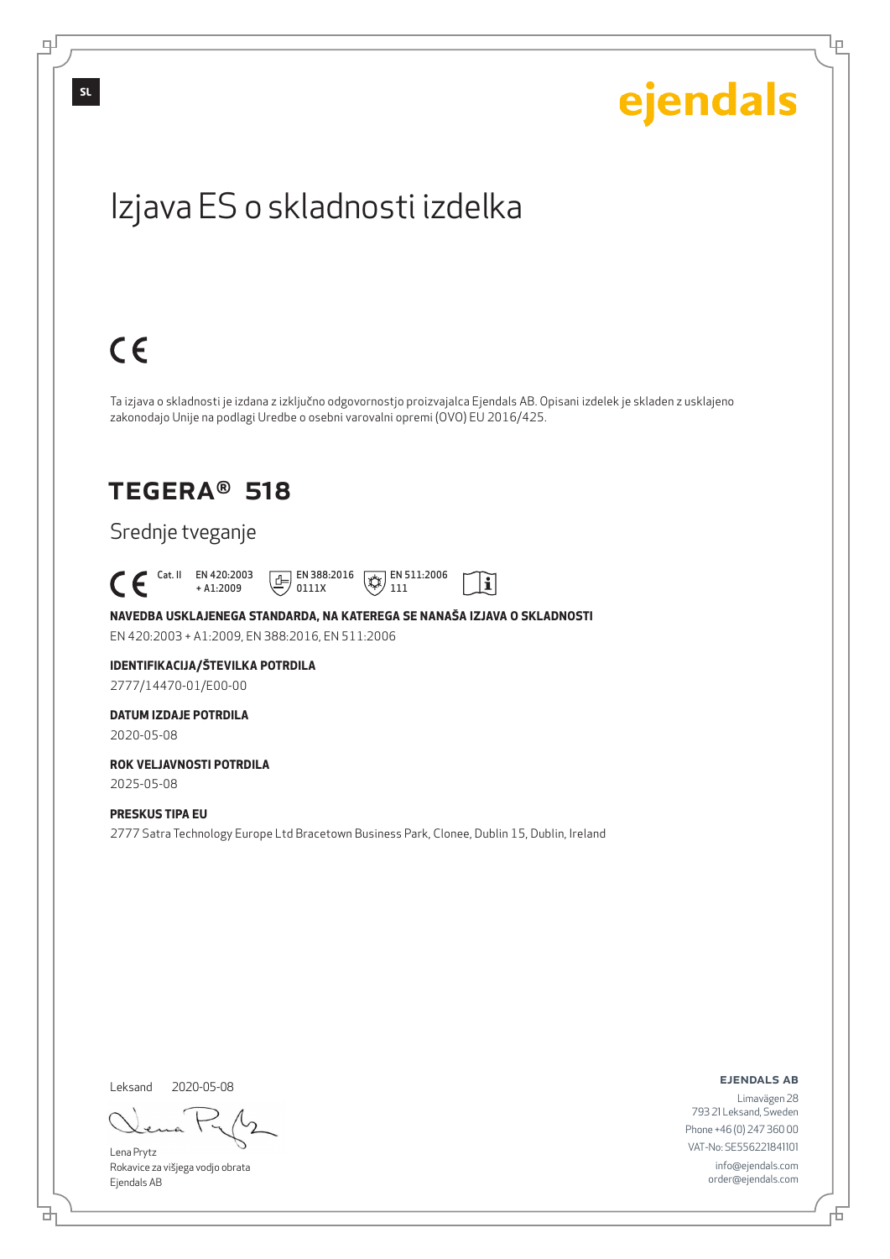Lρ

## Izjava ES o skladnosti izdelka

# $C \in$

Ta izjava o skladnosti je izdana z izključno odgovornostjo proizvajalca Ejendals AB. Opisani izdelek je skladen z usklajeno zakonodajo Unije na podlagi Uredbe o osebni varovalni opremi (OVO) EU 2016/425.

li

## TEGERA® 518

### Srednje tveganje

 Cat. II EN 420:2003 + A1:2009  $\boxed{E}$  EN 388:2016 0111X  $\mathbb{R}$  EN 511:2006 111

**NAVEDBA USKLAJENEGA STANDARDA, NA KATEREGA SE NANAŠA IZJAVA O SKLADNOSTI** EN 420:2003 + A1:2009, EN 388:2016, EN 511:2006

#### **IDENTIFIKACIJA/ŠTEVILKA POTRDILA** 2777/14470-01/E00-00

**DATUM IZDAJE POTRDILA**

2020-05-08

#### **ROK VELJAVNOSTI POTRDILA** 2025-05-08

**PRESKUS TIPA EU**

#### 2777 Satra Technology Europe Ltd Bracetown Business Park, Clonee, Dublin 15, Dublin, Ireland

Leksand 2020-05-08

Lena Prytz Rokavice za višjega vodjo obrata Ejendals AB

ejendals ab

Đ

Limavägen 28 793 21 Leksand, Sweden Phone +46 (0) 247 360 00 VAT-No: SE556221841101 info@ejendals.com order@ejendals.com

டி

**SL**

<u>다</u>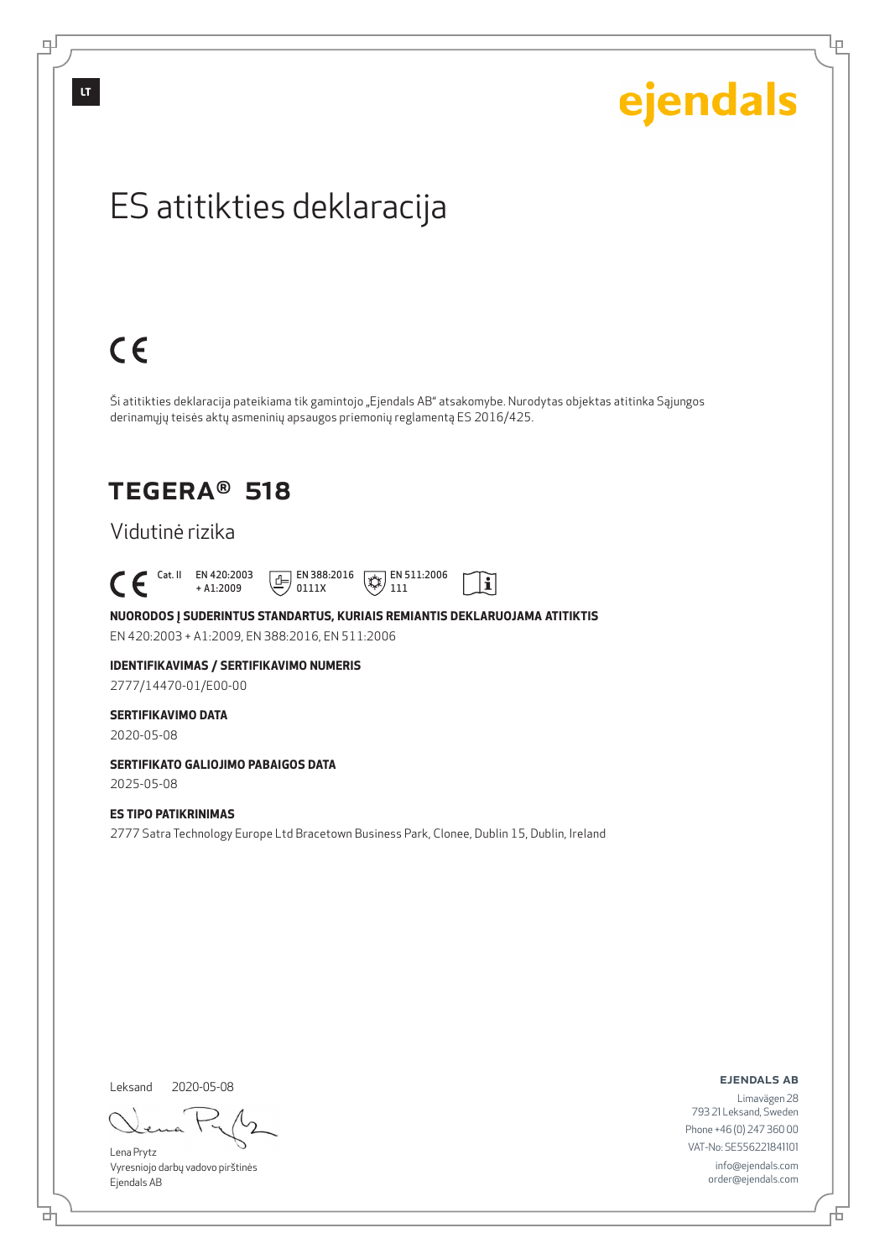டி

# ejendals

Lρ

## ES atitikties deklaracija

# $C \in$

Ši atitikties deklaracija pateikiama tik gamintojo "Ejendals AB" atsakomybe. Nurodytas objektas atitinka Sąjungos derinamųjų teisės aktų asmeninių apsaugos priemonių reglamentą ES 2016/425.

 $|\tilde{\mathbf{i}}|$ 

## TEGERA® 518

### Vidutinė rizika

 $\begin{bmatrix} \mathsf{Cat} & \mathsf{II} & \mathsf{EN} & 420:2003 \\ + & \mathsf{A} & 1:2009 \end{bmatrix}$ + A1:2009  $\boxed{E}$  EN 388:2016 0111X  $\mathbb{R}$  EN 511:2006 111

**NUORODOS Į SUDERINTUS STANDARTUS, KURIAIS REMIANTIS DEKLARUOJAMA ATITIKTIS** EN 420:2003 + A1:2009, EN 388:2016, EN 511:2006

#### **IDENTIFIKAVIMAS / SERTIFIKAVIMO NUMERIS** 2777/14470-01/E00-00

### **SERTIFIKAVIMO DATA**

2020-05-08

### **SERTIFIKATO GALIOJIMO PABAIGOS DATA**

2025-05-08

### **ES TIPO PATIKRINIMAS**

2777 Satra Technology Europe Ltd Bracetown Business Park, Clonee, Dublin 15, Dublin, Ireland

Leksand 2020-05-08

Lena Prytz Vyresniojo darbų vadovo pirštinės Ejendals AB

#### ejendals ab

Limavägen 28 793 21 Leksand, Sweden Phone +46 (0) 247 360 00 VAT-No: SE556221841101 info@ejendals.com order@ejendals.com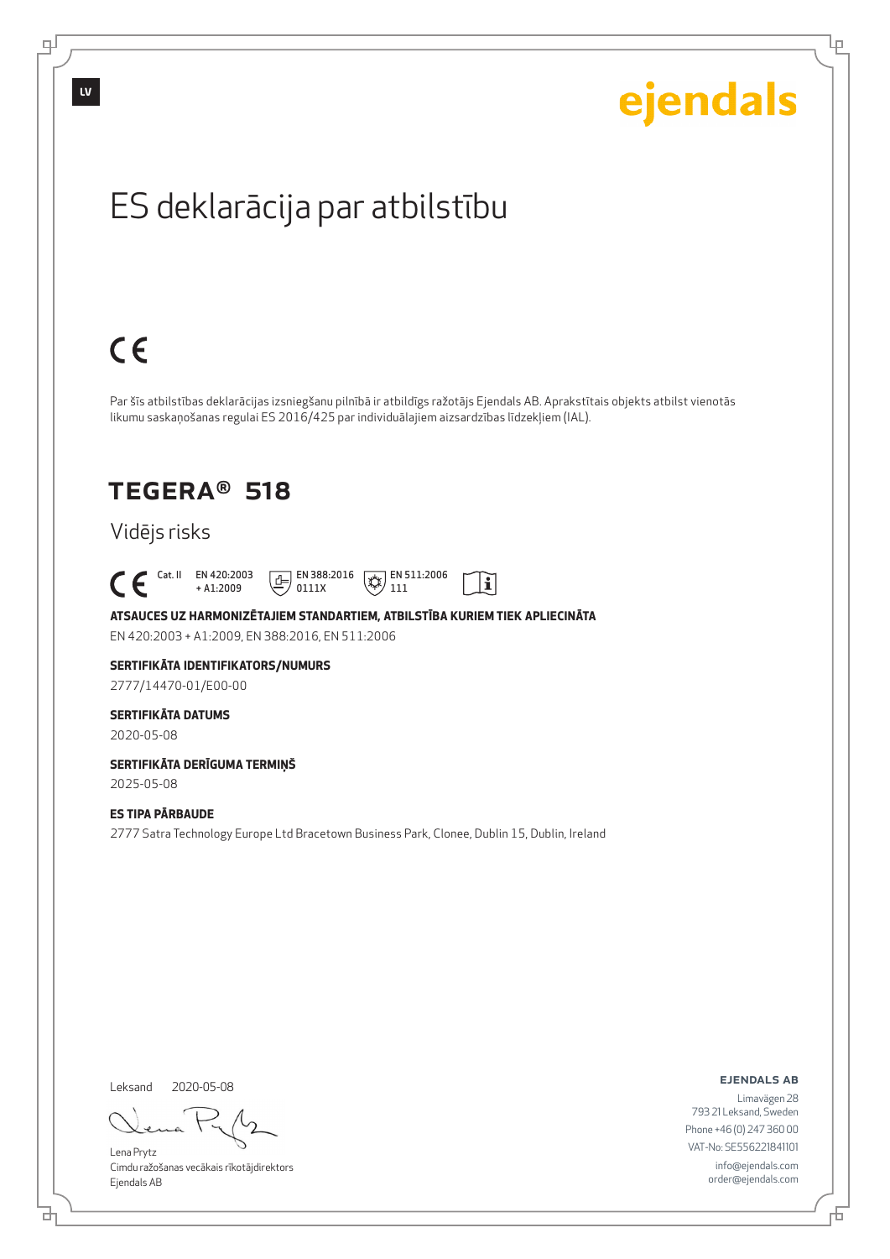

Lρ

## ES deklarācija par atbilstību

# $C \in$

Par šīs atbilstības deklarācijas izsniegšanu pilnībā ir atbildīgs ražotājs Ejendals AB. Aprakstītais objekts atbilst vienotās likumu saskaņošanas regulai ES 2016/425 par individuālajiem aizsardzības līdzekļiem (IAL).

> $\mathbb{R}$  EN 511:2006 111

 $\mathbf{i}$ 

## TEGERA® 518

## Vidējs risks

 Cat. II EN 420:2003 + A1:2009

**ATSAUCES UZ HARMONIZĒTAJIEM STANDARTIEM, ATBILSTĪBA KURIEM TIEK APLIECINĀTA** EN 420:2003 + A1:2009, EN 388:2016, EN 511:2006

 $E$  EN 388:2016 0111X

## **SERTIFIKĀTA IDENTIFIKATORS/NUMURS**

2777/14470-01/E00-00

### **SERTIFIKĀTA DATUMS**

2020-05-08

#### **SERTIFIKĀTA DERĪGUMA TERMIŅŠ** 2025-05-08

**ES TIPA PĀRBAUDE**

2777 Satra Technology Europe Ltd Bracetown Business Park, Clonee, Dublin 15, Dublin, Ireland

Leksand 2020-05-08

<u>다</u>

Lena Prytz Cimdu ražošanas vecākais rīkotājdirektors Ejendals AB

ejendals ab

Б

Limavägen 28 793 21 Leksand, Sweden Phone +46 (0) 247 360 00 VAT-No: SE556221841101 info@ejendals.com order@ejendals.com

டி

**LV**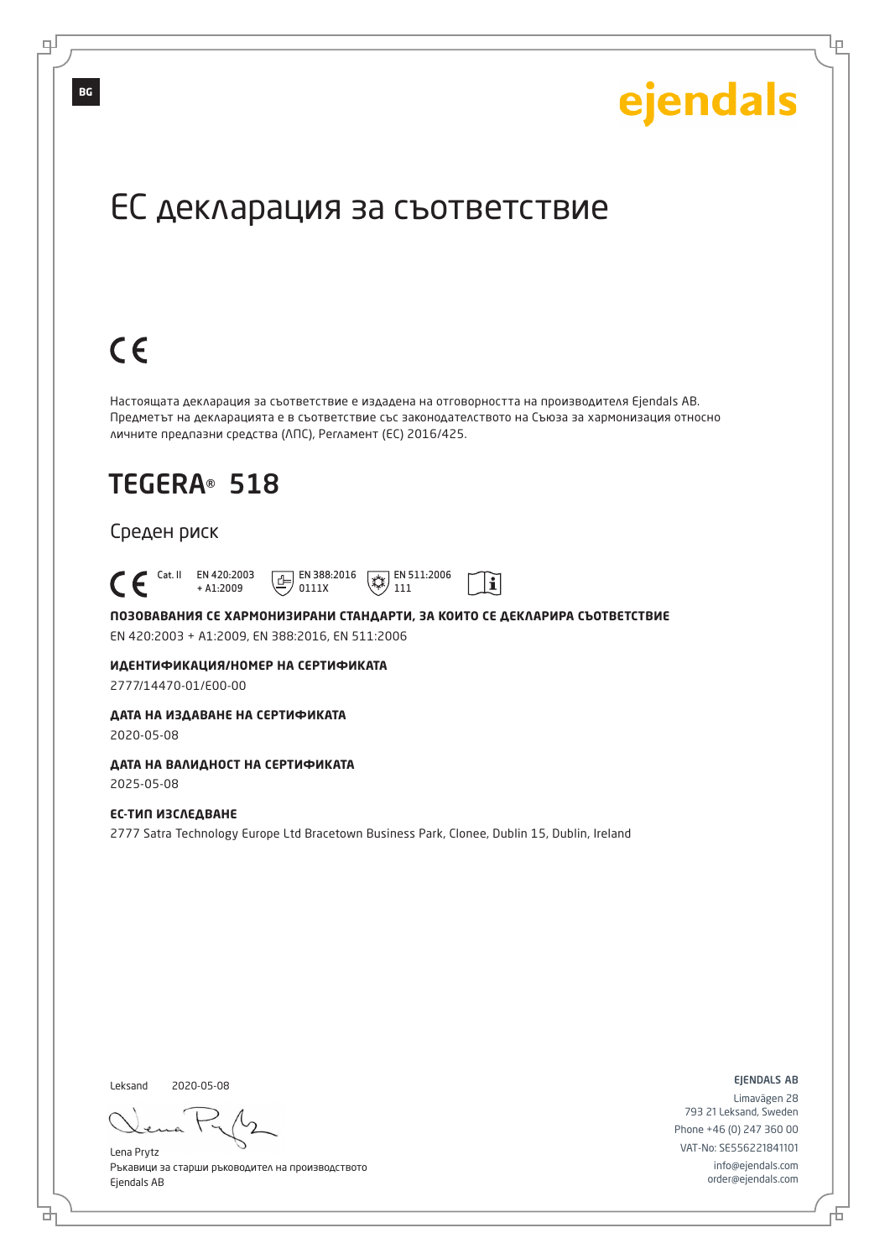Lр

## ЕС декларация за съответствие

# $C \in$

Настоящата декларация за съответствие е издадена на отговорността на производителя Ejendals AB. Предметът на декларацията е в съответствие със законодателството на Съюза за хармонизация относно личните предпазни средства (ЛПС), Регламент (ЕС) 2016/425.

## TEGERA® 518

### Среден риск

 Cat. II EN 420:2003  $\boxed{E}$  EN 388:2016  $\mathbb{R}$  EN 511:2006  $\mathbf{i}$ + A1:2009 0111X 111

**ПОЗОВАВАНИЯ СЕ ХАРМОНИЗИРАНИ СТАНДАРТИ, ЗА КОИТО СЕ ДЕКЛАРИРА СЪОТВЕТСТВИЕ** EN 420:2003 + A1:2009, EN 388:2016, EN 511:2006

**ИДЕНТИФИКАЦИЯ/НОМЕР НА СЕРТИФИКАТА**

2777/14470-01/E00-00

#### **ДАТА НА ИЗДАВАНЕ НА СЕРТИФИКАТА**

2020-05-08

### **ДАТА НА ВАЛИДНОСТ НА СЕРТИФИКАТА**

2025-05-08

### **ЕС-ТИП ИЗСЛЕДВАНЕ**

2777 Satra Technology Europe Ltd Bracetown Business Park, Clonee, Dublin 15, Dublin, Ireland

Leksand 2020-05-08

브

Lena Prytz Ръкавици за старши ръководител на производството Ejendals AB

ejendals ab

Đ

Limavägen 28 793 21 Leksand, Sweden Phone +46 (0) 247 360 00 VAT-No: SE556221841101 info@ejendals.com order@ejendals.com

**BG**